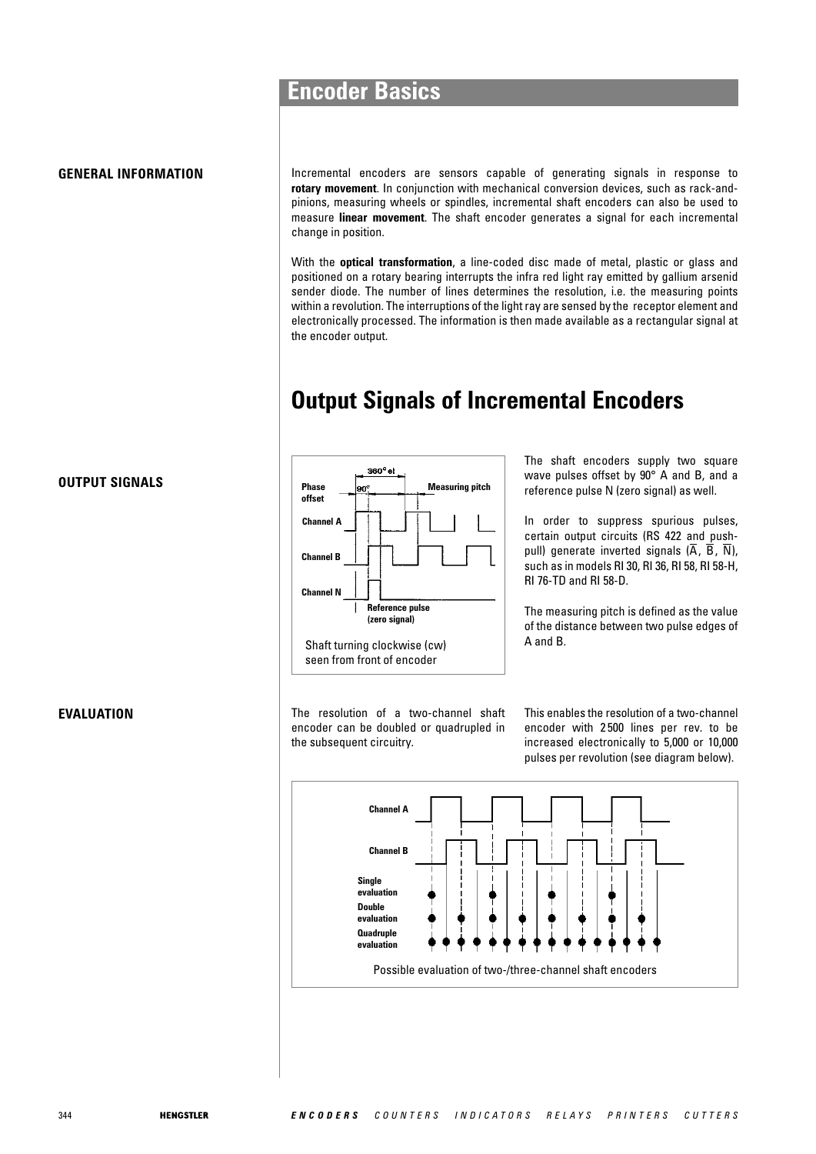#### **GENERAL INFORMATION**

Incremental encoders are sensors capable of generating signals in response to **rotary movement**. In conjunction with mechanical conversion devices, such as rack-andpinions, measuring wheels or spindles, incremental shaft encoders can also be used to measure **linear movement**. The shaft encoder generates a signal for each incremental change in position.

With the **optical transformation**, a line-coded disc made of metal, plastic or glass and positioned on a rotary bearing interrupts the infra red light ray emitted by gallium arsenid sender diode. The number of lines determines the resolution, i.e. the measuring points within a revolution. The interruptions of the light ray are sensed by the receptor element and electronically processed. The information is then made available as a rectangular signal at the encoder output.

## **Output Signals of Incremental Encoders**



The shaft encoders supply two square wave pulses offset by 90° A and B, and a reference pulse N (zero signal) as well.

In order to suppress spurious pulses, certain output circuits (RS 422 and pushpull) generate inverted signals (A, B, N), such as in models RI 30, RI 36, RI 58, RI 58-H, RI 76-TD and RI 58-D.

The measuring pitch is defined as the value of the distance between two pulse edges of A and B.

The resolution of a two-channel shaft encoder can be doubled or quadrupled in the subsequent circuitry.

This enables the resolution of a two-channel encoder with 2 500 lines per rev. to be increased electronically to 5,000 or 10,000 pulses per revolution (see diagram below).



#### **OUTPUT SIGNALS**

**EVALUATION**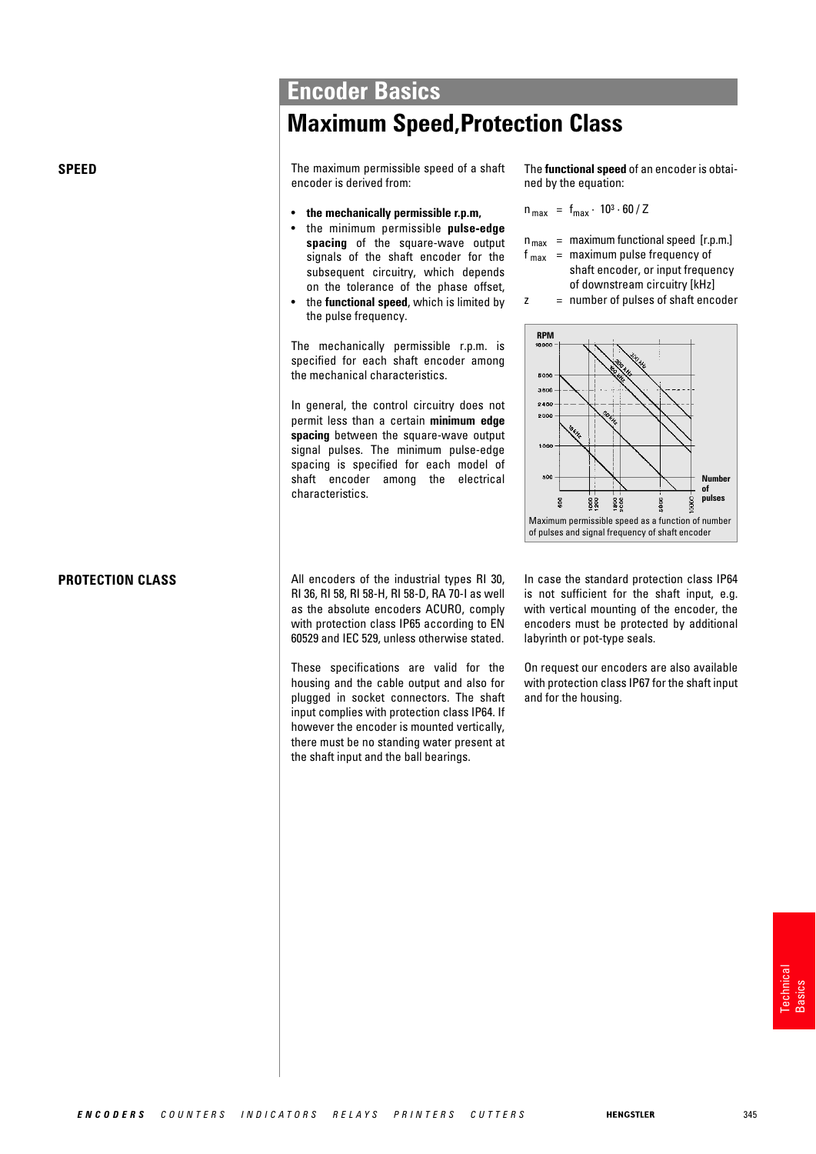## **Maximum Speed,Protection Class**

**SPEED** The maximum permissible speed of a shaft encoder is derived from:

- **the mechanically permissible r.p.m,**
- the minimum permissible **pulse-edge spacing** of the square-wave output signals of the shaft encoder for the subsequent circuitry, which depends on the tolerance of the phase offset,
- the **functional speed**, which is limited by the pulse frequency.

The mechanically permissible r.p.m. is specified for each shaft encoder among the mechanical characteristics.

In general, the control circuitry does not permit less than a certain **minimum edge spacing** between the square-wave output signal pulses. The minimum pulse-edge spacing is specified for each model of shaft encoder among the electrical characteristics.

All encoders of the industrial types RI 30, RI 36, RI 58, RI 58-H, RI 58-D, RA 70-I as well as the absolute encoders ACURO, comply with protection class IP65 according to EN 60529 and IEC 529, unless otherwise stated.

**PROTECTION CLASS**

These specifications are valid for the housing and the cable output and also for plugged in socket connectors. The shaft input complies with protection class IP64. If however the encoder is mounted vertically, there must be no standing water present at the shaft input and the ball bearings.

The **functional speed** of an encoder is obtained by the equation:

$$
n_{\text{max}} = f_{\text{max}} \cdot 10^3 \cdot 60 / Z
$$

- $n_{max}$  = maximum functional speed [r.p.m.]
- $f_{\text{max}}$  = maximum pulse frequency of shaft encoder, or input frequency
	- of downstream circuitry [kHz]
- $z =$  number of pulses of shaft encoder



In case the standard protection class IP64 is not sufficient for the shaft input, e.g. with vertical mounting of the encoder, the encoders must be protected by additional labyrinth or pot-type seals.

On request our encoders are also available with protection class IP67 for the shaft input and for the housing.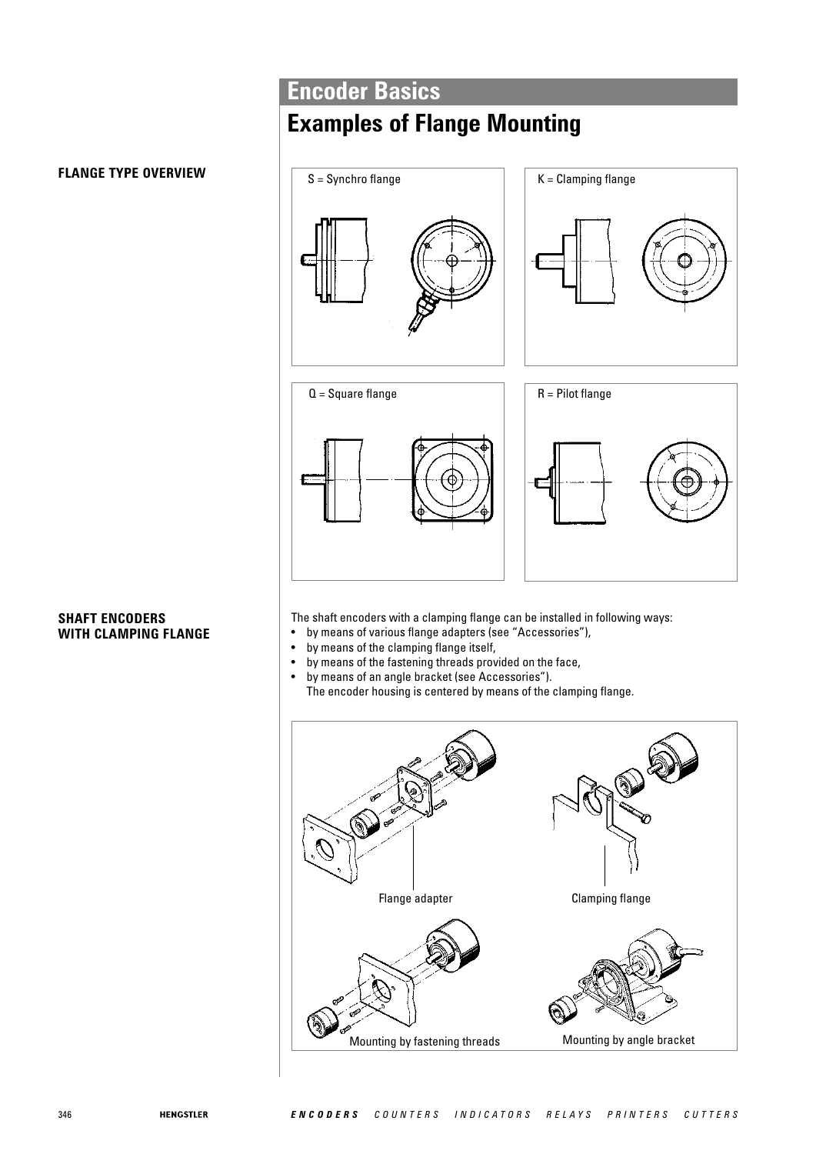# **Examples of Flange Mounting**

## **FLANGE TYPE OVERVIEW**

#### **SHAFT ENCODERS WITH CLAMPING FLANGE**



The shaft encoders with a clamping flange can be installed in following ways:

- by means of various flange adapters (see "Accessories"),
- by means of the clamping flange itself,
- by means of the fastening threads provided on the face,
- by means of an angle bracket (see Accessories"). The encoder housing is centered by means of the clamping flange.

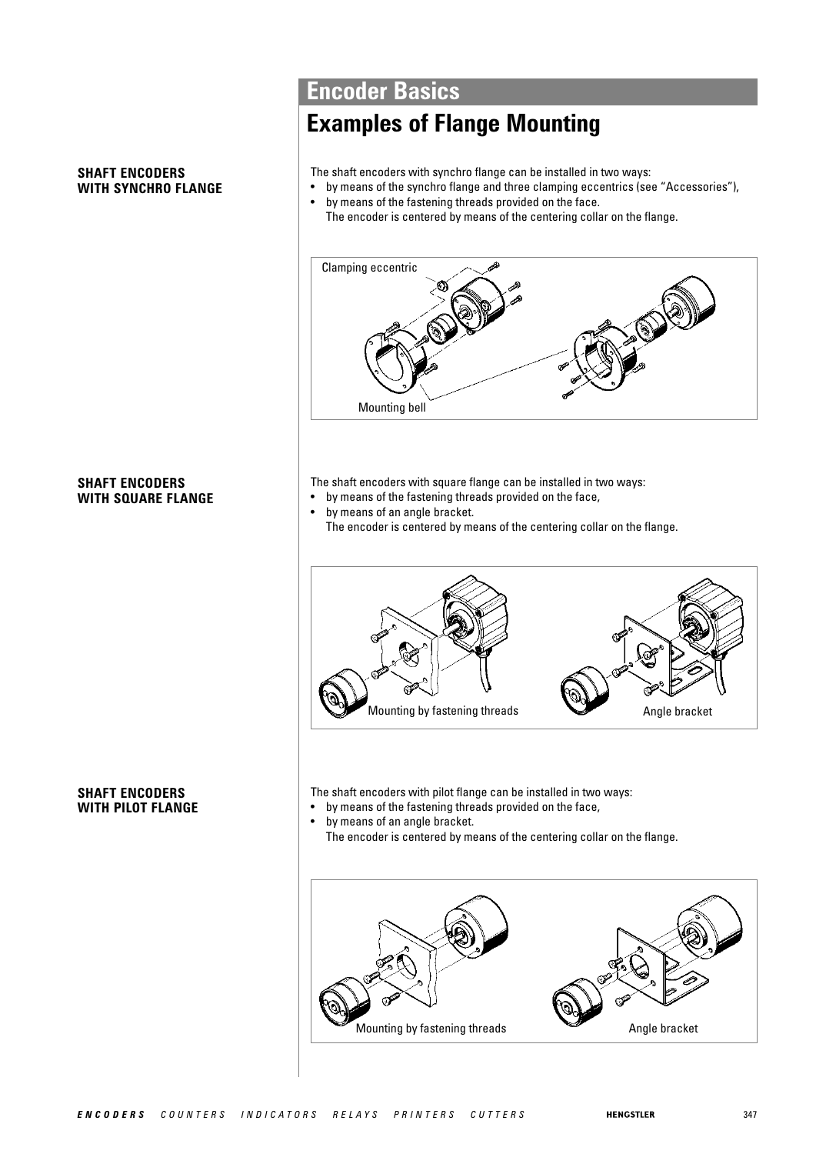#### **SHAFT ENCODERS WITH SYNCHRO FLANGE**

## **Encoder Basics**

## **Examples of Flange Mounting**

The shaft encoders with synchro flange can be installed in two ways:

- by means of the synchro flange and three clamping eccentrics (see "Accessories"), • by means of the fastening threads provided on the face.
	- The encoder is centered by means of the centering collar on the flange.



The shaft encoders with square flange can be installed in two ways:

- by means of the fastening threads provided on the face,
- by means of an angle bracket. The encoder is centered by means of the centering collar on the flange.



The shaft encoders with pilot flange can be installed in two ways:

- by means of the fastening threads provided on the face,
- by means of an angle bracket. The encoder is centered by means of the centering collar on the flange.



## **SHAFT ENCODERS WITH SQUARE FLANGE**

#### **SHAFT ENCODERS WITH PILOT FLANGE**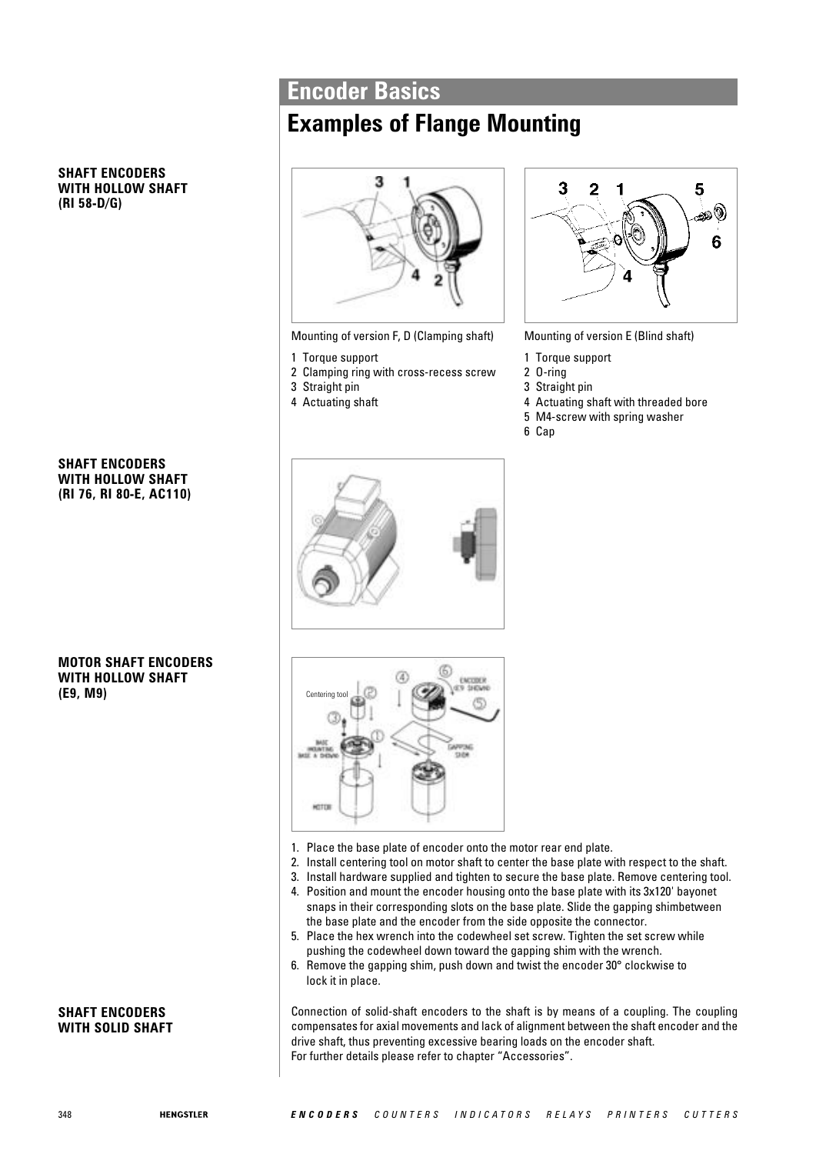## **Examples of Flange Mounting**

# 7

Mounting of version F, D (Clamping shaft)

- 1 Torque support
- 2 Clamping ring with cross-recess screw
- 3 Straight pin
- 4 Actuating shaft



Mounting of version E (Blind shaft)

- 1 Torque support
- 2 O-ring
- 3 Straight pin
- 4 Actuating shaft with threaded bore
- 5 M4-screw with spring washer
- 6 Cap



**SHAFT ENCODERS WITH HOLLOW SHAFT**

**(RI 58-D/G)**

#### **MOTOR SHAFT ENCODERS WITH HOLLOW SHAFT (E9, M9)**

#### **SHAFT ENCODERS WITH SOLID SHAFT**





- 1. Place the base plate of encoder onto the motor rear end plate.
- 2. Install centering tool on motor shaft to center the base plate with respect to the shaft.
- 3. Install hardware supplied and tighten to secure the base plate. Remove centering tool.
- 4. Position and mount the encoder housing onto the base plate with its 3x120' bayonet snaps in their corresponding slots on the base plate. Slide the gapping shimbetween the base plate and the encoder from the side opposite the connector.
- 5. Place the hex wrench into the codewheel set screw. Tighten the set screw while pushing the codewheel down toward the gapping shim with the wrench.
- 6. Remove the gapping shim, push down and twist the encoder 30° clockwise to lock it in place.

Connection of solid-shaft encoders to the shaft is by means of a coupling. The coupling compensates for axial movements and lack of alignment between the shaft encoder and the drive shaft, thus preventing excessive bearing loads on the encoder shaft. For further details please refer to chapter "Accessories".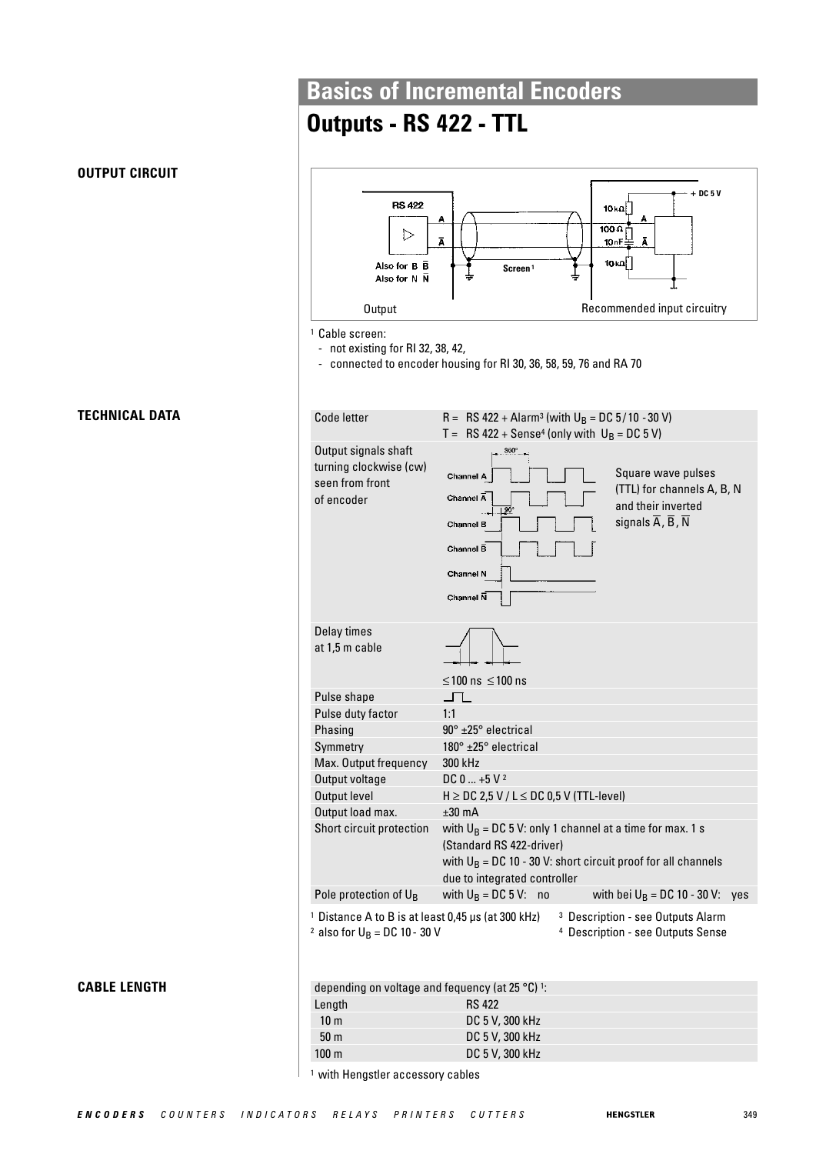# **Outputs - RS 422 - TTL**

| <b>RS 422</b><br>▷<br>Also for B B<br>Also for N N<br><b>Output</b>                                         | + DC 5 V<br>10 κΩ <br>A<br>$100 \Omega$<br>Ā<br>Ā<br>10nF<br>10 κΩ <br>Screen <sup>1</sup><br>Recommended input circuitry                                                                                                             |
|-------------------------------------------------------------------------------------------------------------|---------------------------------------------------------------------------------------------------------------------------------------------------------------------------------------------------------------------------------------|
| <sup>1</sup> Cable screen:                                                                                  |                                                                                                                                                                                                                                       |
| - not existing for RI 32, 38, 42,                                                                           | connected to encoder housing for RI 30, 36, 58, 59, 76 and RA 70                                                                                                                                                                      |
| Code letter                                                                                                 | R = RS 422 + Alarm <sup>3</sup> (with $U_B$ = DC 5/10 - 30 V)                                                                                                                                                                         |
|                                                                                                             | $T = RS 422 + Sense4$ (only with $U_B = DC 5 V$ )                                                                                                                                                                                     |
| Output signals shaft<br>turning clockwise (cw)<br>seen from front<br>of encoder                             | $360^\circ$<br>Square wave pulses<br>Channel A<br>(TTL) for channels A, B, N<br>Channel A<br>and their inverted<br>90<br>signals $\overline{A}$ , $\overline{B}$ , $\overline{N}$<br>Channel B<br>Channel B<br>Channel N<br>Channel N |
| Delay times<br>at 1,5 m cable                                                                               |                                                                                                                                                                                                                                       |
|                                                                                                             | ≤100 ns $\leq$ 100 ns                                                                                                                                                                                                                 |
| Pulse shape<br>Pulse duty factor                                                                            | 1:1                                                                                                                                                                                                                                   |
| Phasing                                                                                                     | $90^\circ$ ±25 $^\circ$ electrical                                                                                                                                                                                                    |
| Symmetry                                                                                                    | $180^\circ$ ±25 $^\circ$ electrical                                                                                                                                                                                                   |
| Max. Output frequency                                                                                       | 300 kHz                                                                                                                                                                                                                               |
| Output voltage<br>Output level                                                                              | $DC 0  +5 V^2$<br>$H \ge DC$ 2,5 V / L $\le DC$ 0,5 V (TTL-level)                                                                                                                                                                     |
| Output load max.                                                                                            | $±30$ mA                                                                                                                                                                                                                              |
| Short circuit protection                                                                                    | with $U_B = DC 5 V$ : only 1 channel at a time for max. 1 s<br>(Standard RS 422-driver)<br>with $U_B = DC 10 - 30 V$ : short circuit proof for all channels<br>due to integrated controller                                           |
| Pole protection of U <sub>B</sub>                                                                           | with $U_B = DC 5 V$ :<br>with bei $U_B = DC 10 - 30 V$ :<br>no<br>ves                                                                                                                                                                 |
| <sup>1</sup> Distance A to B is at least 0,45 µs (at 300 kHz)<br><sup>2</sup> also for $U_B = DC 10 - 30 V$ | <sup>3</sup> Description - see Outputs Alarm<br><sup>4</sup> Description - see Outputs Sense                                                                                                                                          |

**CABLE LENGTH** 

**TECHNICAL DATA**

**OUTPUT CIRCUIT**

| depending on voltage and fequency (at 25 $^{\circ}$ C) <sup>1</sup> : |                 |  |
|-----------------------------------------------------------------------|-----------------|--|
| Length                                                                | <b>RS 422</b>   |  |
| 10 <sub>m</sub>                                                       | DC 5 V, 300 kHz |  |
| 50 <sub>m</sub>                                                       | DC 5 V, 300 kHz |  |
| $100 \text{ m}$                                                       | DC 5 V, 300 kHz |  |

<sup>1</sup> with Hengstler accessory cables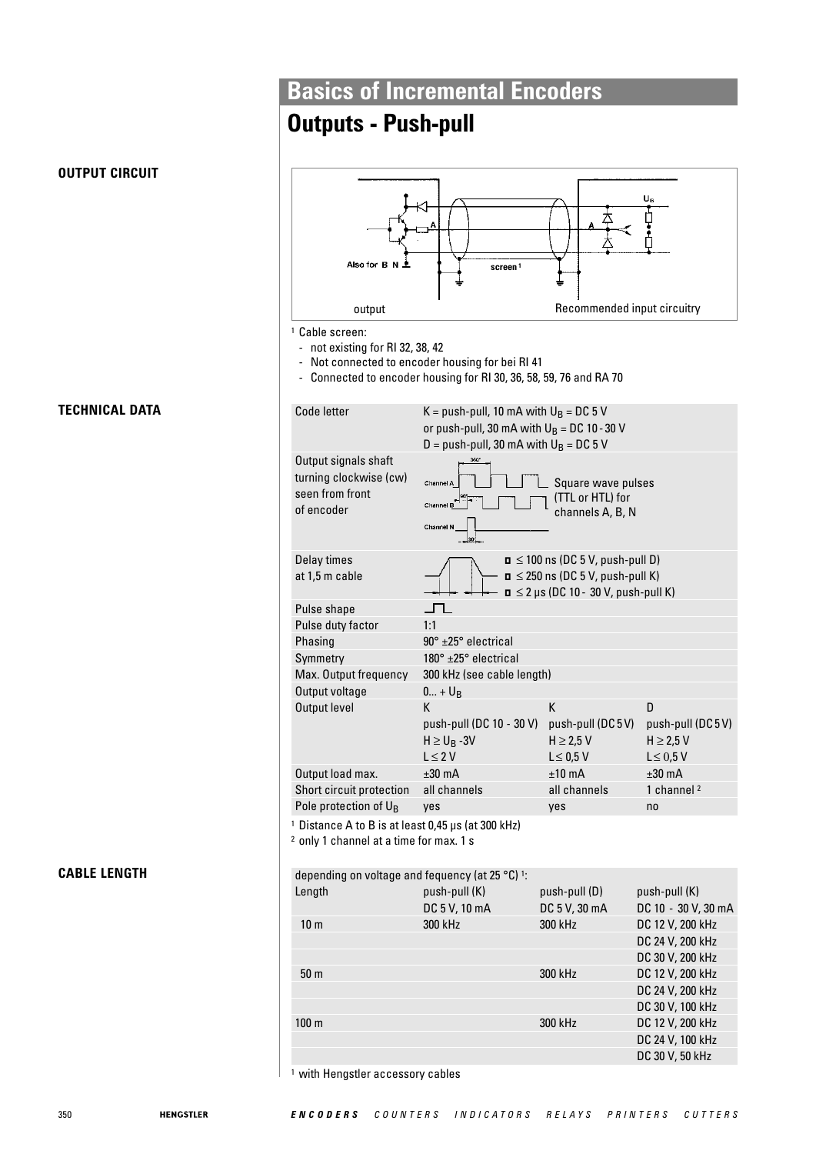## **Outputs - Push-pull**

#### **OUTPUT CIRCUIT**

Also for B **screen <sup>1</sup>** output **CONFORT CONFORT RECOMMENDED** Recommended input circuitry <sup>1</sup> Cable screen: - not existing for RI 32, 38, 42 - Not connected to encoder housing for bei RI 41 - Connected to encoder housing for RI 30, 36, 58, 59, 76 and RA 70 Code letter  $K = push-pull$ , 10 mA with  $U_B = DC$  5 V or push-pull, 30 mA with  $U_B = DC 10 - 30 V$  $D = push-pull$ , 30 mA with  $U_B = DC$  5 V Output signals shaft turning clockwise (cw) Square wave pulses seen from front (TTL or HTL) for of encoder channels A, B, N Delay times  $\sqrt{ }$  D  $\leq 100$  ns (DC 5 V, push-pull D) at 1,5 m cable  $\leftarrow$   $\leftarrow$   $\leftarrow$   $\rightarrow$   $\rightarrow$   $\rightarrow$   $\rightarrow$  250 ns (DC 5 V, push-pull K)  $\mathbf{u} \leq 2$  µs (DC 10 - 30 V, push-pull K) Pulse shape  $\overline{\phantom{a}}$ Pulse duty factor 1:1 Phasing 90° ±25° electrical Symmetry 180° ±25° electrical Max. Output frequency 300 kHz (see cable length) Output voltage  $0... + U_B$ Output level **K** K D push-pull (DC 10 - 30 V) push-pull (DC 5 V) push-pull (DC 5 V)  $H \ge U_B - 3V$   $H \ge 2.5 V$   $H \ge 2.5 V$   $H \ge 2.5 V$  $L \leq 0.5$  V Output load max.  $\pm 30$  mA  $\pm 10$  mA  $\pm 30$  mA Short circuit protection all channels all channels all channel 2 Pole protection of U<sub>B</sub> yes yes yes no <sup>1</sup> Distance A to B is at least 0,45 μs (at 300 kHz) <sup>2</sup> only 1 channel at a time for max. 1 s **CABLE LENGTH** depending on voltage and fequency (at 25 °C) <sup>1</sup>: Length push-pull (K) push-pull (D) push-pull (K) DC 5 V, 10 mA DC 5 V, 30 mA DC 10 - 30 V, 30 mA 10 m 300 kHz 300 kHz DC 12 V, 200 kHz DC 24 V, 200 kHz DC 30 V, 200 kHz 50 m 300 kHz DC 12 V, 200 kHz DC 24 V, 200 kHz DC 30 V, 100 kHz 100 m 300 kHz DC 12 V, 200 kHz

<sup>1</sup> with Hengstler accessory cables

## **TECHNICAL DATA**

DC 24 V, 100 kHz DC 30 V, 50 kHz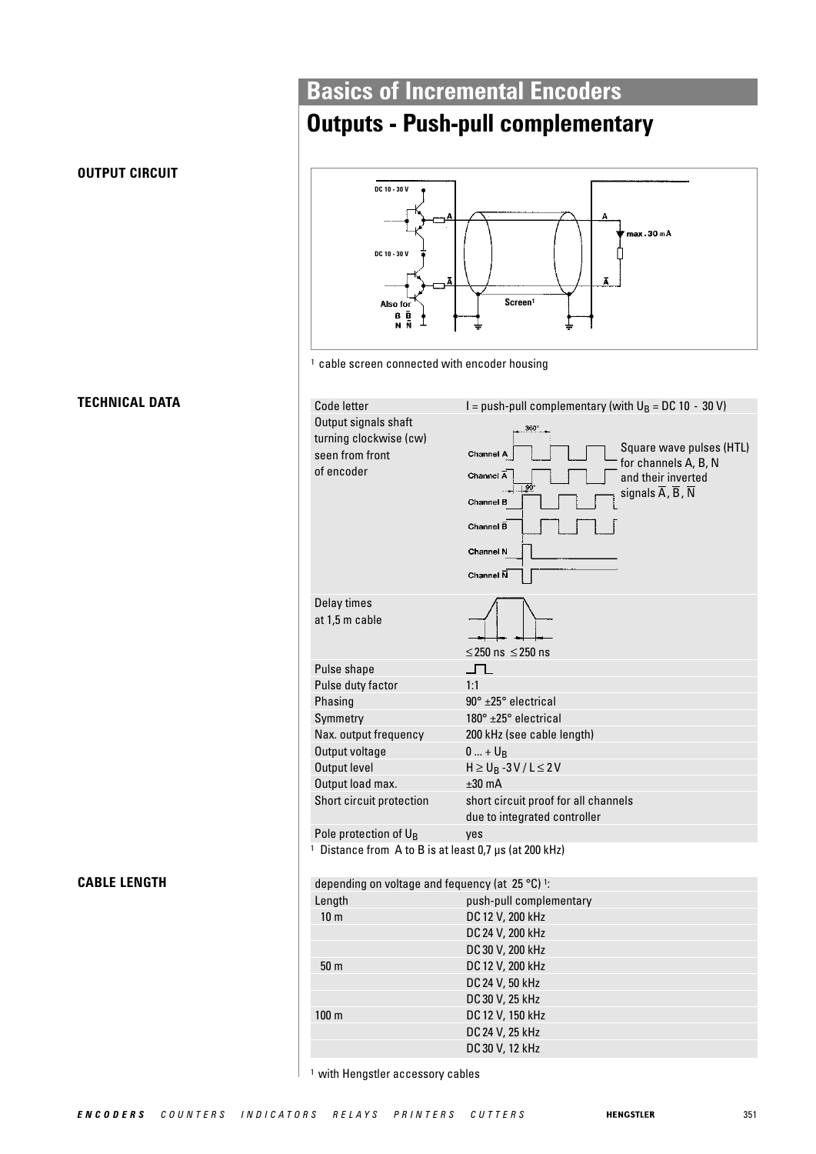## **Outputs - Push-pull complementary**



| Code letter                                                                     | I = push-pull complementary (with $U_B = DC 10 - 30 V$ )                                                                                                                                                                                                   |
|---------------------------------------------------------------------------------|------------------------------------------------------------------------------------------------------------------------------------------------------------------------------------------------------------------------------------------------------------|
| Output signals shaft<br>turning clockwise (cw)<br>seen from front<br>of encoder | 360°<br>Square wave pulses (HTL)<br>Channel A<br>for channels A, B, N<br>Channel $\overline{A}$<br>and their inverted<br>90<br>signals $\overline{A}$ , $\overline{B}$ , $\overline{N}$<br><b>Channel B</b><br>Channel $\bar{B}$<br>Channel N<br>Channel N |
| Delay times<br>at 1,5 m cable                                                   | $\leq$ 250 ns $\leq$ 250 ns                                                                                                                                                                                                                                |
| Pulse shape                                                                     | ▁┌┌                                                                                                                                                                                                                                                        |
| Pulse duty factor                                                               | 1:1                                                                                                                                                                                                                                                        |
| Phasing                                                                         | $90^\circ$ ±25 $^\circ$ electrical                                                                                                                                                                                                                         |
| Symmetry                                                                        | $180^\circ$ $\pm 25^\circ$ electrical                                                                                                                                                                                                                      |
| Nax. output frequency                                                           | 200 kHz (see cable length)                                                                                                                                                                                                                                 |
| Output voltage                                                                  | $0  + U_B$                                                                                                                                                                                                                                                 |
| Output level                                                                    | $H \ge U_B - 3V/L \le 2V$                                                                                                                                                                                                                                  |
| Output load max.                                                                | $±30$ mA                                                                                                                                                                                                                                                   |
| Short circuit protection                                                        | short circuit proof for all channels                                                                                                                                                                                                                       |
|                                                                                 | due to integrated controller                                                                                                                                                                                                                               |
| Pole protection of $U_B$                                                        | yes                                                                                                                                                                                                                                                        |
| <sup>1</sup> Distance from A to B is at least 0,7 µs (at 200 kHz)               |                                                                                                                                                                                                                                                            |
| depending on voltage and fequency (at 25 °C) 1:                                 |                                                                                                                                                                                                                                                            |
| Lenath                                                                          | push-pull complementary                                                                                                                                                                                                                                    |

| depending on voitage and requency (at $23$ G). |                         |
|------------------------------------------------|-------------------------|
| Length                                         | push-pull complementary |
| 10 <sub>m</sub>                                | DC 12 V, 200 kHz        |
|                                                | DC 24 V, 200 kHz        |
|                                                | DC 30 V, 200 kHz        |
| 50 <sub>m</sub>                                | DC 12 V, 200 kHz        |
|                                                | DC 24 V, 50 kHz         |
|                                                | DC 30 V, 25 kHz         |
| 100 <sub>m</sub>                               | DC 12 V, 150 kHz        |
|                                                | DC 24 V, 25 kHz         |
|                                                | DC 30 V, 12 kHz         |
|                                                |                         |

<sup>1</sup> with Hengstler accessory cables

# **TECHNICAL DATA**

**OUTPUT CIRCUIT**

**CABLE LENGTH**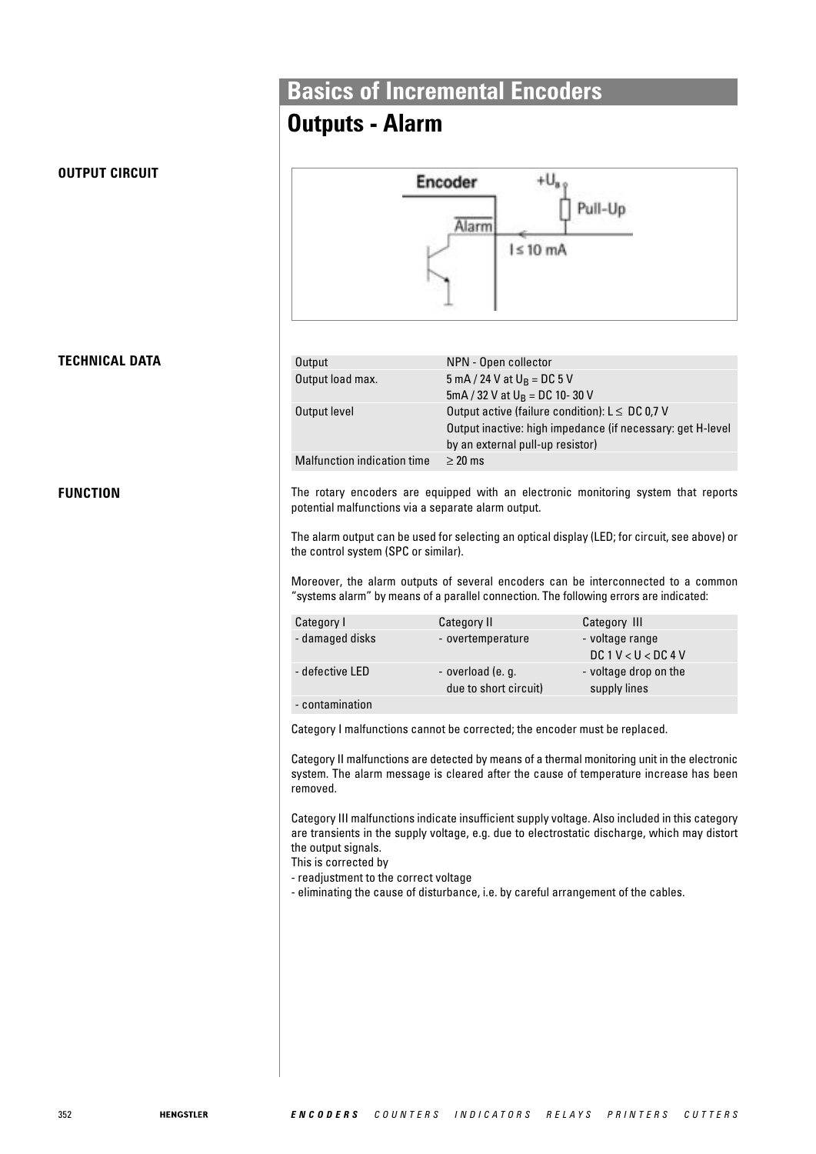## **Outputs - Alarm**



## **TECHNICAL DATA**

**OUTPUT CIRCUIT**

**FUNCTION**

| Output                      | NPN - Open collector                                       |
|-----------------------------|------------------------------------------------------------|
| Output load max.            | 5 mA / 24 V at $U_R = DC$ 5 V                              |
|                             | 5mA / 32 V at $U_B = DC 10 - 30 V$                         |
| Output level                | Output active (failure condition): $L \leq DC$ 0,7 V       |
|                             | Output inactive: high impedance (if necessary: get H-level |
|                             | by an external pull-up resistor)                           |
| Malfunction indication time | $\geq$ 20 ms                                               |
|                             |                                                            |

The rotary encoders are equipped with an electronic monitoring system that reports potential malfunctions via a separate alarm output.

The alarm output can be used for selecting an optical display (LED; for circuit, see above) or the control system (SPC or similar).

Moreover, the alarm outputs of several encoders can be interconnected to a common "systems alarm" by means of a parallel connection. The following errors are indicated:

| Category I      | Category II                                | Category III                           |
|-----------------|--------------------------------------------|----------------------------------------|
| - damaged disks | - overtemperature                          | - voltage range<br>DC 1 V < U < DC 4 V |
| - defective LED | - overload (e. g.<br>due to short circuit) | - voltage drop on the<br>supply lines  |
| - contamination |                                            |                                        |

Category I malfunctions cannot be corrected; the encoder must be replaced.

Category II malfunctions are detected by means of a thermal monitoring unit in the electronic system. The alarm message is cleared after the cause of temperature increase has been removed.

Category III malfunctions indicate insufficient supply voltage. Also included in this category are transients in the supply voltage, e.g. due to electrostatic discharge, which may distort the output signals.

This is corrected by

- readjustment to the correct voltage

- eliminating the cause of disturbance, i.e. by careful arrangement of the cables.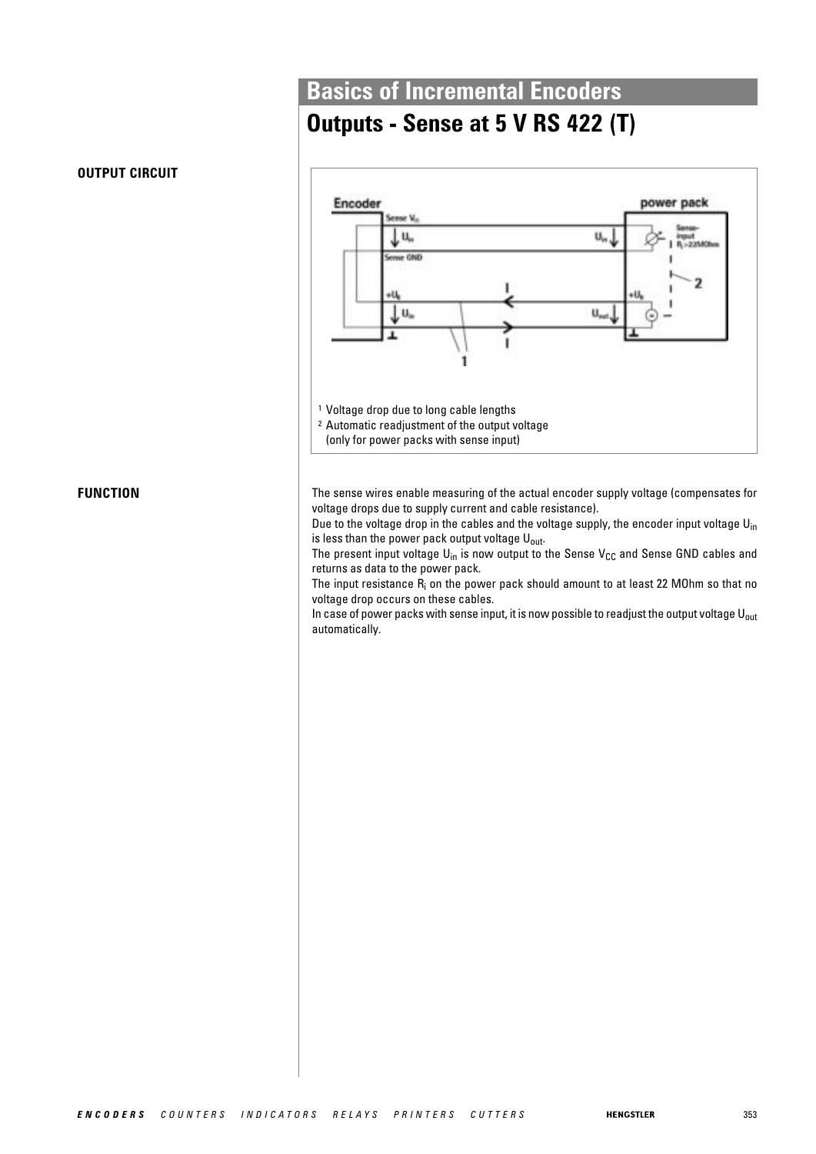## **Outputs - Sense at 5 V RS 422 (T)**



The sense wires enable measuring of the actual encoder supply voltage (compensates for voltage drops due to supply current and cable resistance).

Due to the voltage drop in the cables and the voltage supply, the encoder input voltage  $U_{in}$ is less than the power pack output voltage  $U_{\text{out}}$ .

The present input voltage  $U_{in}$  is now output to the Sense  $V_{CC}$  and Sense GND cables and returns as data to the power pack.

The input resistance  $R_i$  on the power pack should amount to at least 22 MOhm so that no voltage drop occurs on these cables.

In case of power packs with sense input, it is now possible to readjust the output voltage  $U_{\text{out}}$ automatically.

#### **OUTPUT CIRCUIT**

**FUNCTION**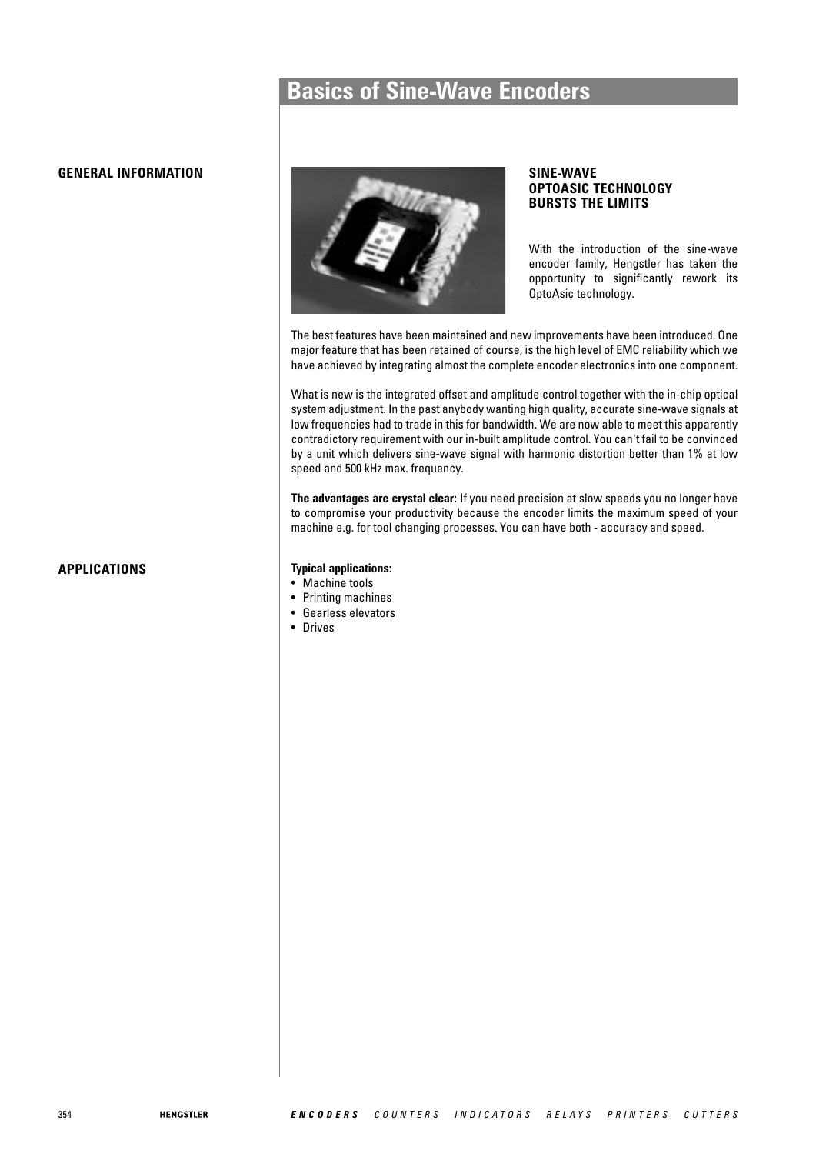## **Basics of Sine-Wave Encoders**

#### **GENERAL INFORMATION**



#### **SINE-WAVE OPTOASIC TECHNOLOGY BURSTS THE LIMITS**

With the introduction of the sine-wave encoder family, Hengstler has taken the opportunity to significantly rework its OptoAsic technology.

The best features have been maintained and new improvements have been introduced. One major feature that has been retained of course, is the high level of EMC reliability which we have achieved by integrating almost the complete encoder electronics into one component.

What is new is the integrated offset and amplitude control together with the in-chip optical system adjustment. In the past anybody wanting high quality, accurate sine-wave signals at low frequencies had to trade in this for bandwidth. We are now able to meet this apparently contradictory requirement with our in-built amplitude control. You can't fail to be convinced by a unit which delivers sine-wave signal with harmonic distortion better than 1% at low speed and 500 kHz max. frequency.

**The advantages are crystal clear:** If you need precision at slow speeds you no longer have to compromise your productivity because the encoder limits the maximum speed of your machine e.g. for tool changing processes. You can have both - accuracy and speed.

#### **APPLICATIONS Typical applications:**

- Machine tools
- Printing machines
- Gearless elevators
- Drives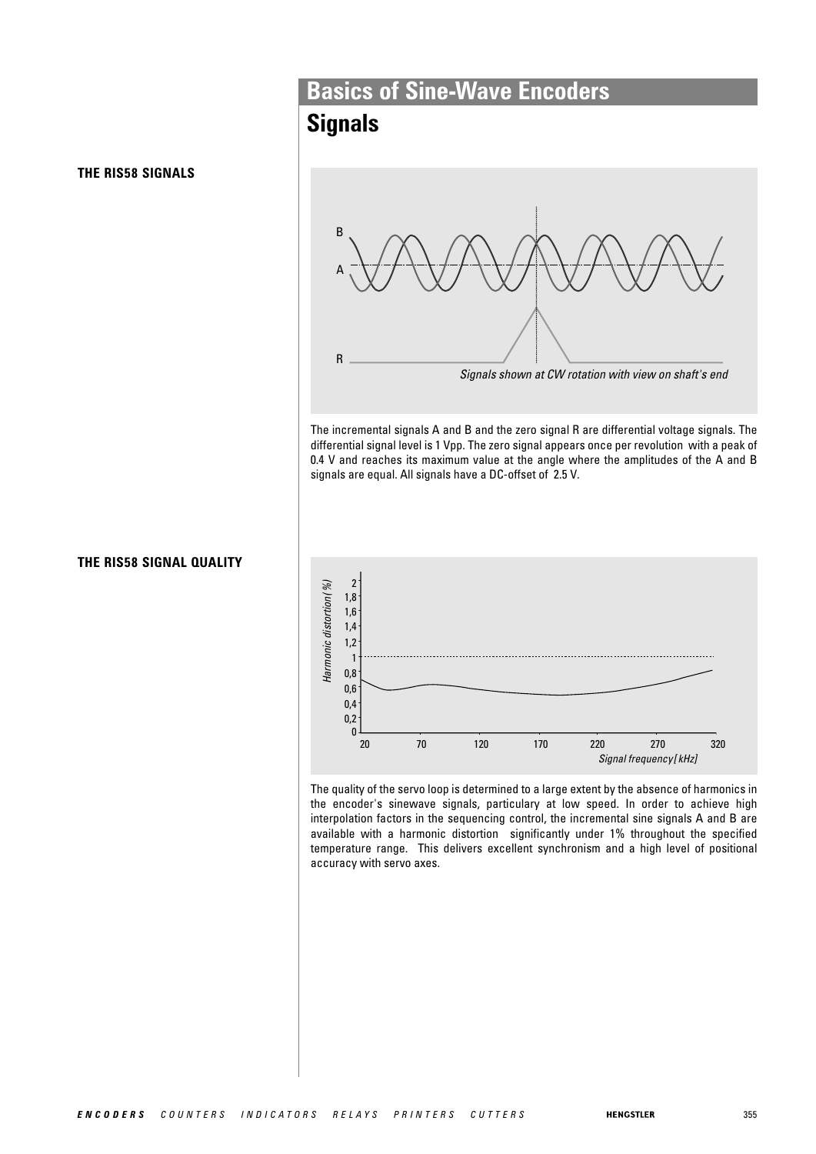#### **THE RIS58 SIGNALS**



# **Basics of Sine-Wave Encoders**

## **Signals**



The incremental signals A and B and the zero signal R are differential voltage signals. The differential signal level is 1 Vpp. The zero signal appears once per revolution with a peak of 0.4 V and reaches its maximum value at the angle where the amplitudes of the A and B signals are equal. All signals have a DC-offset of 2.5 V.



The quality of the servo loop is determined to a large extent by the absence of harmonics in the encoder's sinewave signals, particulary at low speed. In order to achieve high interpolation factors in the sequencing control, the incremental sine signals A and B are available with a harmonic distortion significantly under 1% throughout the specified temperature range. This delivers excellent synchronism and a high level of positional accuracy with servo axes.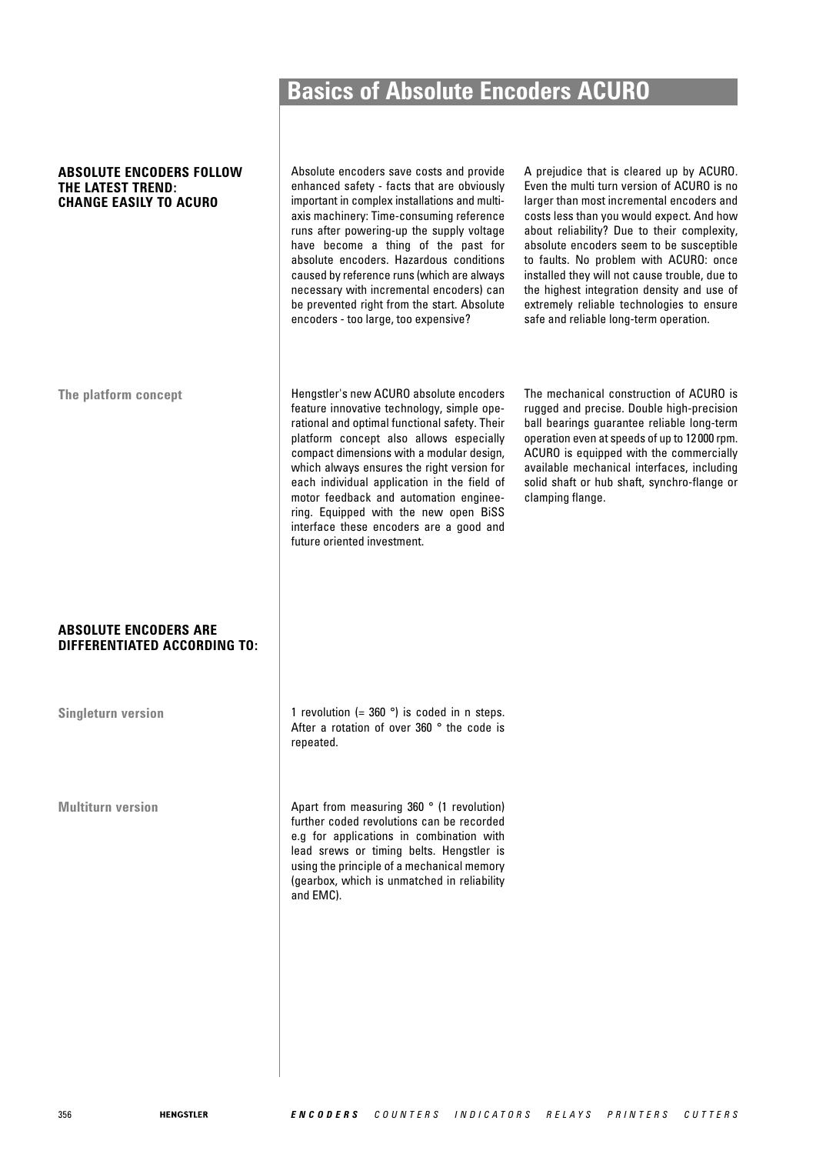#### **ABSOLUTE ENCODERS FOLLOW THE LATEST TREND: CHANGE EASILY TO ACURO**

**ABSOLUTE ENCODERS ARE DIFFERENTIATED ACCORDING TO:**

**Singleturn version**

**Multiturn version**

Absolute encoders save costs and provide enhanced safety - facts that are obviously important in complex installations and multiaxis machinery: Time-consuming reference runs after powering-up the supply voltage have become a thing of the past for absolute encoders. Hazardous conditions caused by reference runs (which are always necessary with incremental encoders) can be prevented right from the start. Absolute encoders - too large, too expensive?

A prejudice that is cleared up by ACURO. Even the multi turn version of ACURO is no larger than most incremental encoders and costs less than you would expect. And how about reliability? Due to their complexity, absolute encoders seem to be susceptible to faults. No problem with ACURO: once installed they will not cause trouble, due to the highest integration density and use of extremely reliable technologies to ensure safe and reliable long-term operation.

The platform concept **Hengstler's new ACURO** absolute encoders feature innovative technology, simple operational and optimal functional safety. Their platform concept also allows especially compact dimensions with a modular design, which always ensures the right version for each individual application in the field of motor feedback and automation engineering. Equipped with the new open BiSS interface these encoders are a good and future oriented investment.

The mechanical construction of ACURO is rugged and precise. Double high-precision ball bearings guarantee reliable long-term operation even at speeds of up to 12 000 rpm. ACURO is equipped with the commercially available mechanical interfaces, including solid shaft or hub shaft, synchro-flange or clamping flange.

1 revolution (=  $360^\circ$ ) is coded in n steps. After a rotation of over 360 ° the code is repeated.

Apart from measuring 360 ° (1 revolution) further coded revolutions can be recorded e.g for applications in combination with lead srews or timing belts. Hengstler is using the principle of a mechanical memory (gearbox, which is unmatched in reliability and EMC).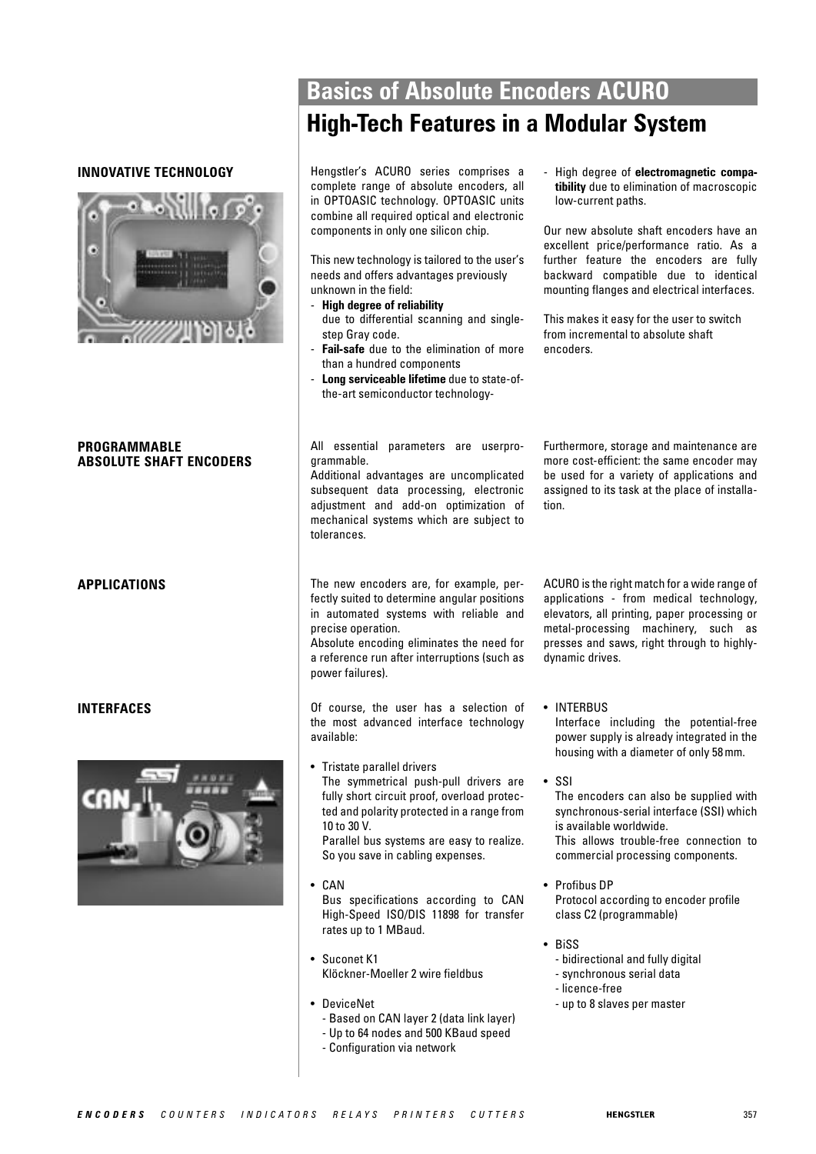#### **INNOVATIVE TECHNOLOGY**



#### **PROGRAMMABLE ABSOLUTE SHAFT ENCODERS**

**APPLICATIONS**

#### **INTERFACES**



## **Basics of Absolute Encoders ACURO High-Tech Features in a Modular System**

Hengstler's ACURO series comprises a complete range of absolute encoders, all in OPTOASIC technology. OPTOASIC units combine all required optical and electronic components in only one silicon chip.

This new technology is tailored to the user's needs and offers advantages previously unknown in the field:

- **High degree of reliability** due to differential scanning and singlestep Gray code.
- **Fail-safe** due to the elimination of more than a hundred components
- **Long serviceable lifetime** due to state-ofthe-art semiconductor technology-

- High degree of **electromagnetic compatibility** due to elimination of macroscopic low-current paths.

Our new absolute shaft encoders have an excellent price/performance ratio. As a further feature the encoders are fully backward compatible due to identical mounting flanges and electrical interfaces.

This makes it easy for the user to switch from incremental to absolute shaft encoders.

#### All essential parameters are userprogrammable.

Additional advantages are uncomplicated subsequent data processing, electronic adjustment and add-on optimization of mechanical systems which are subject to tolerances.

Furthermore, storage and maintenance are more cost-efficient: the same encoder may be used for a variety of applications and assigned to its task at the place of installation.

The new encoders are, for example, perfectly suited to determine angular positions in automated systems with reliable and precise operation.

Absolute encoding eliminates the need for a reference run after interruptions (such as power failures).

Of course, the user has a selection of the most advanced interface technology available:

• Tristate parallel drivers The symmetrical push-pull drivers are fully short circuit proof, overload protected and polarity protected in a range from 10 to 30 V.

Parallel bus systems are easy to realize. So you save in cabling expenses.

- CAN Bus specifications according to CAN High-Speed ISO/DIS 11898 for transfer rates up to 1 MBaud.
- Suconet K1 Klöckner-Moeller 2 wire fieldbus
- DeviceNet
	- Based on CAN layer 2 (data link layer)
	- Up to 64 nodes and 500 KBaud speed
- Configuration via network

ACURO is the right match for a wide range of applications - from medical technology, elevators, all printing, paper processing or metal-processing machinery, such as presses and saws, right through to highlydynamic drives.

• INTERBUS Interface including the potential-free power supply is already integrated in the housing with a diameter of only 58 mm.

• SSI

The encoders can also be supplied with synchronous-serial interface (SSI) which is available worldwide. This allows trouble-free connection to commercial processing components.

- Profibus DP Protocol according to encoder profile class C2 (programmable)
- BiSS
	- bidirectional and fully digital
	- synchronous serial data
	- licence-free
	- up to 8 slaves per master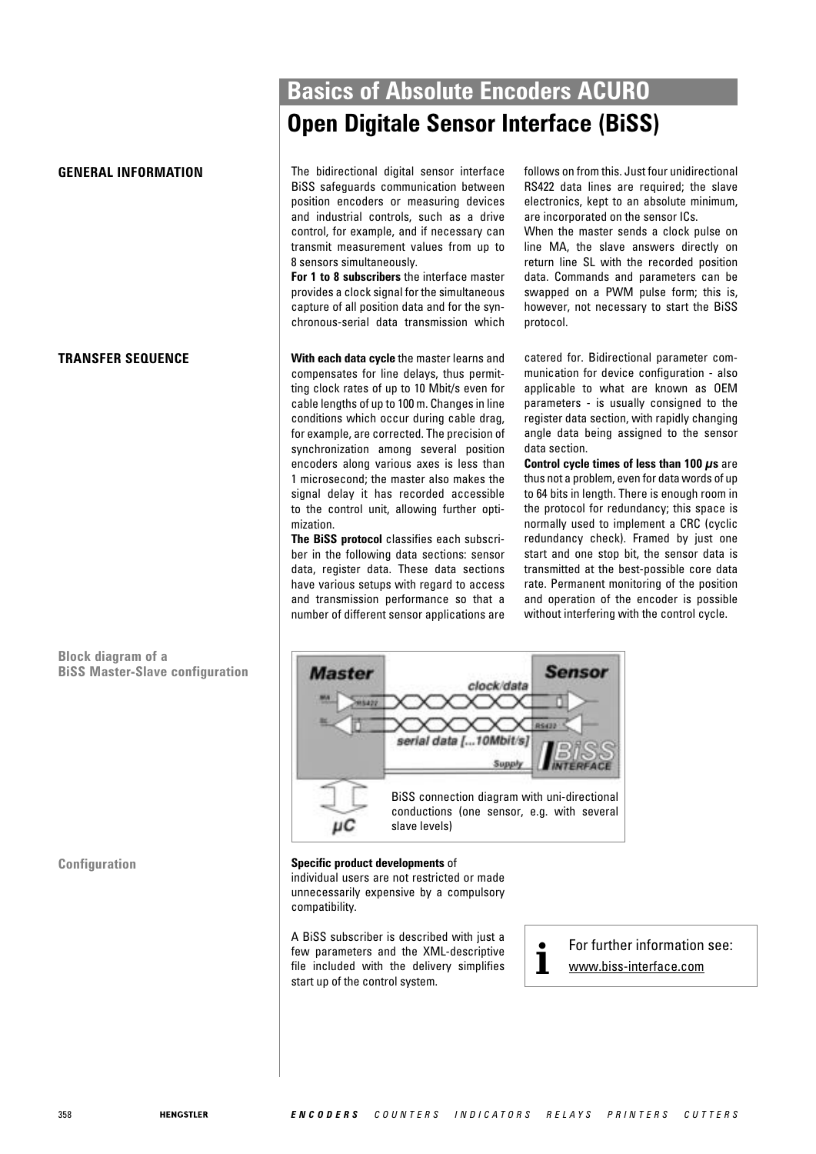#### **TRANSFER SEQUENCE**

**Block diagram of a BiSS Master-Slave configuration**

## **Basics of Absolute Encoders ACURO Open Digitale Sensor Interface (BiSS)**

**GENERAL INFORMATION** The bidirectional digital sensor interface BiSS safeguards communication between position encoders or measuring devices and industrial controls, such as a drive control, for example, and if necessary can transmit measurement values from up to 8 sensors simultaneously.

> **For 1 to 8 subscribers** the interface master provides a clock signal for the simultaneous capture of all position data and for the synchronous-serial data transmission which

> **With each data cycle** the master learns and compensates for line delays, thus permitting clock rates of up to 10 Mbit/s even for cable lengths of up to 100 m. Changes in line conditions which occur during cable drag, for example, are corrected. The precision of synchronization among several position encoders along various axes is less than 1 microsecond; the master also makes the signal delay it has recorded accessible to the control unit, allowing further optimization.

> **The BiSS protocol** classifies each subscriber in the following data sections: sensor data, register data. These data sections have various setups with regard to access and transmission performance so that a number of different sensor applications are

follows on from this. Just four unidirectional RS422 data lines are required; the slave electronics, kept to an absolute minimum, are incorporated on the sensor ICs.

When the master sends a clock pulse on line MA, the slave answers directly on return line SL with the recorded position data. Commands and parameters can be swapped on a PWM pulse form; this is, however, not necessary to start the BiSS protocol.

catered for. Bidirectional parameter communication for device configuration - also applicable to what are known as OEM parameters - is usually consigned to the register data section, with rapidly changing angle data being assigned to the sensor data section.

**Control cycle times of less than 100 μs** are thus not a problem, even for data words of up to 64 bits in length. There is enough room in the protocol for redundancy; this space is normally used to implement a CRC (cyclic redundancy check). Framed by just one start and one stop bit, the sensor data is transmitted at the best-possible core data rate. Permanent monitoring of the position and operation of the encoder is possible without interfering with the control cycle.



#### **Configuration Specific product developments** of

individual users are not restricted or made unnecessarily expensive by a compulsory compatibility.

A BiSS subscriber is described with just a few parameters and the XML-descriptive file included with the delivery simplifies start up of the control system.

**•** For further information see:<br>**1** www.biss-interface.com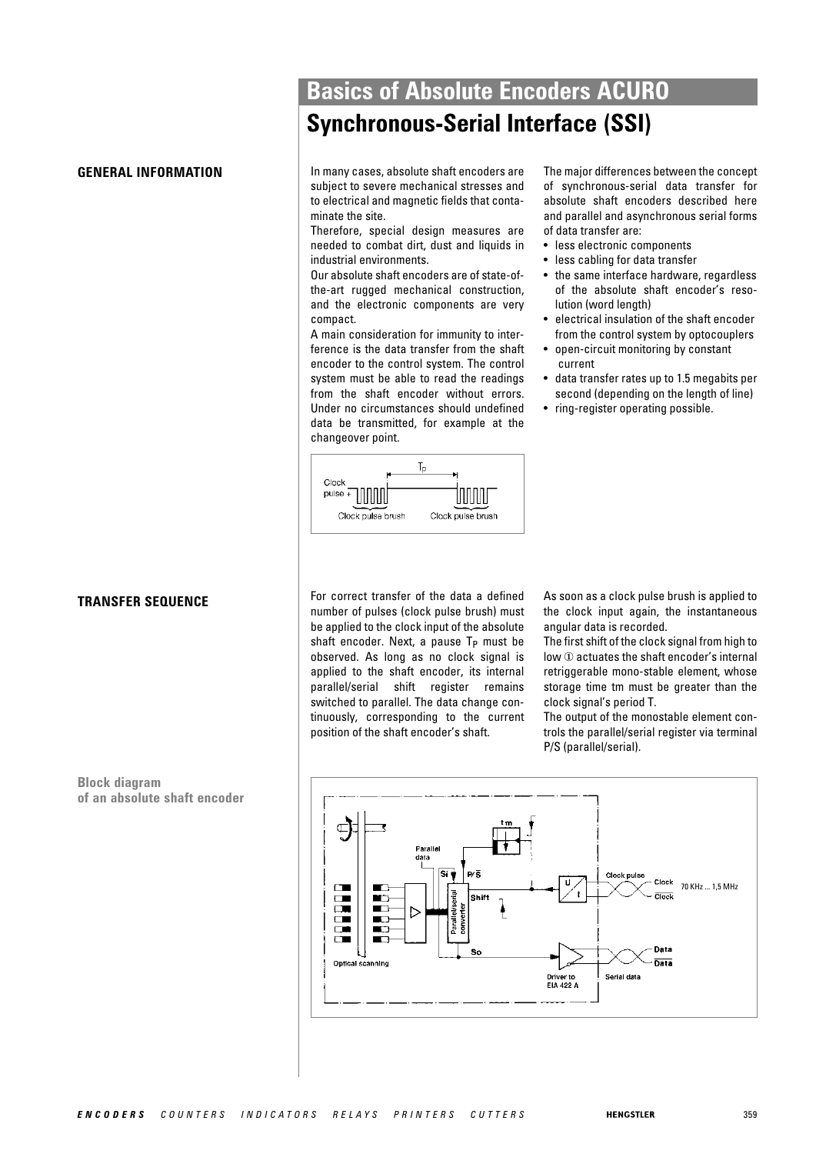#### **TRANSFER SEQUENCE**

**Block diagram of an absolute shaft encoder**

## **Basics of Absolute Encoders ACURO Synchronous-Serial Interface (SSI)**

**GENERAL INFORMATION** In many cases, absolute shaft encoders are subject to severe mechanical stresses and to electrical and magnetic fields that contaminate the site.

> Therefore, special design measures are needed to combat dirt, dust and liquids in industrial environments.

> Our absolute shaft encoders are of state-ofthe-art rugged mechanical construction, and the electronic components are very compact.

> A main consideration for immunity to interference is the data transfer from the shaft encoder to the control system. The control system must be able to read the readings from the shaft encoder without errors. Under no circumstances should undefined data be transmitted, for example at the changeover point.

The major differences between the concept of synchronous-serial data transfer for absolute shaft encoders described here and parallel and asynchronous serial forms of data transfer are:

- less electronic components
- less cabling for data transfer
- the same interface hardware, regardless of the absolute shaft encoder's resolution (word length)
- electrical insulation of the shaft encoder from the control system by optocouplers
- open-circuit monitoring by constant current
- data transfer rates up to 1.5 megabits per second (depending on the length of line)
- ring-register operating possible.



For correct transfer of the data a defined number of pulses (clock pulse brush) must be applied to the clock input of the absolute shaft encoder. Next, a pause  $T_P$  must be observed. As long as no clock signal is applied to the shaft encoder, its internal parallel/serial shift register remains switched to parallel. The data change continuously, corresponding to the current position of the shaft encoder's shaft.

As soon as a clock pulse brush is applied to the clock input again, the instantaneous angular data is recorded.

The first shift of the clock signal from high to low ① actuates the shaft encoder's internal retriggerable mono-stable element, whose storage time tm must be greater than the clock signal's period T.

The output of the monostable element controls the parallel/serial register via terminal P/S (parallel/serial).

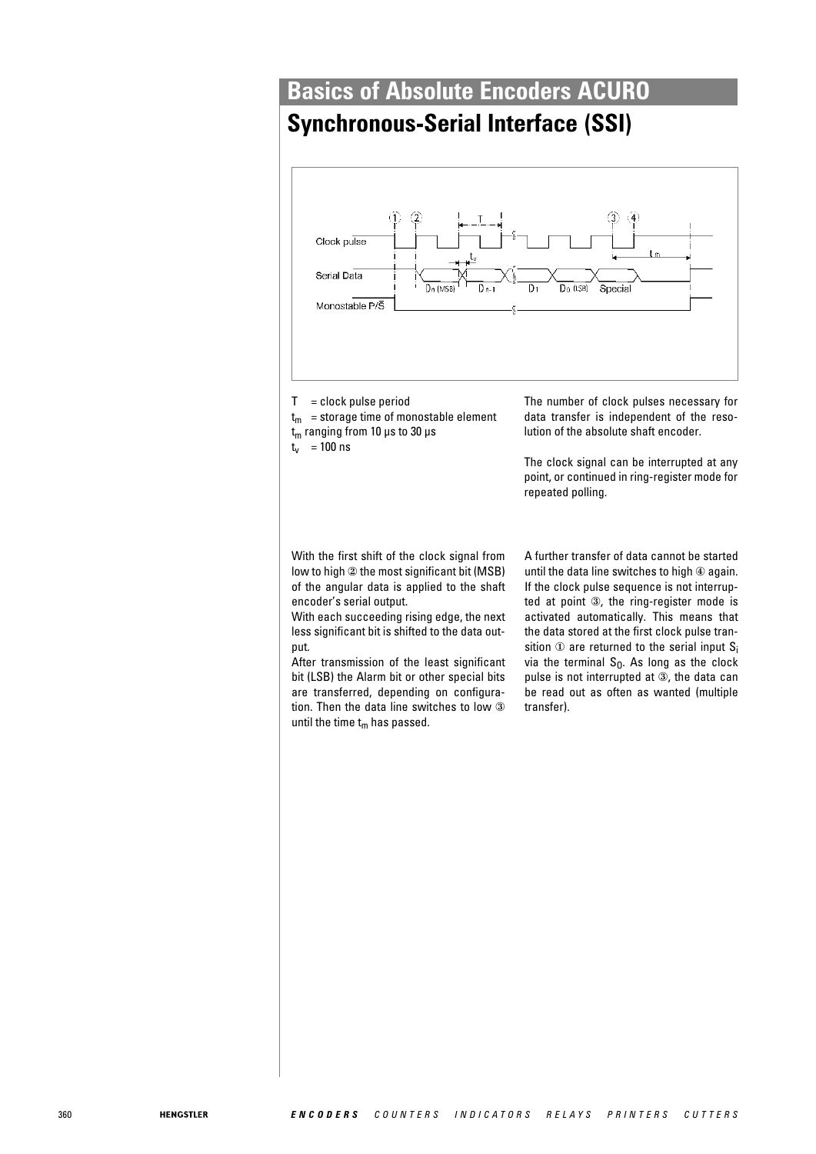## **Synchronous-Serial Interface (SSI)**



 $T =$  clock pulse period

 $t_m$  = storage time of monostable element  $t<sub>m</sub>$  ranging from 10 μs to 30 μs  $t_v$  = 100 ns

The number of clock pulses necessary for data transfer is independent of the resolution of the absolute shaft encoder.

The clock signal can be interrupted at any point, or continued in ring-register mode for repeated polling.

With the first shift of the clock signal from low to high ② the most significant bit (MSB) of the angular data is applied to the shaft encoder's serial output.

With each succeeding rising edge, the next less significant bit is shifted to the data output.

After transmission of the least significant bit (LSB) the Alarm bit or other special bits are transferred, depending on configuration. Then the data line switches to low ③ until the time  $t_m$  has passed.

A further transfer of data cannot be started until the data line switches to high  $@$  again. If the clock pulse sequence is not interrupted at point ③, the ring-register mode is activated automatically. This means that the data stored at the first clock pulse transition  $\Phi$  are returned to the serial input  $S_i$ via the terminal  $S_0$ . As long as the clock pulse is not interrupted at ③, the data can be read out as often as wanted (multiple transfer).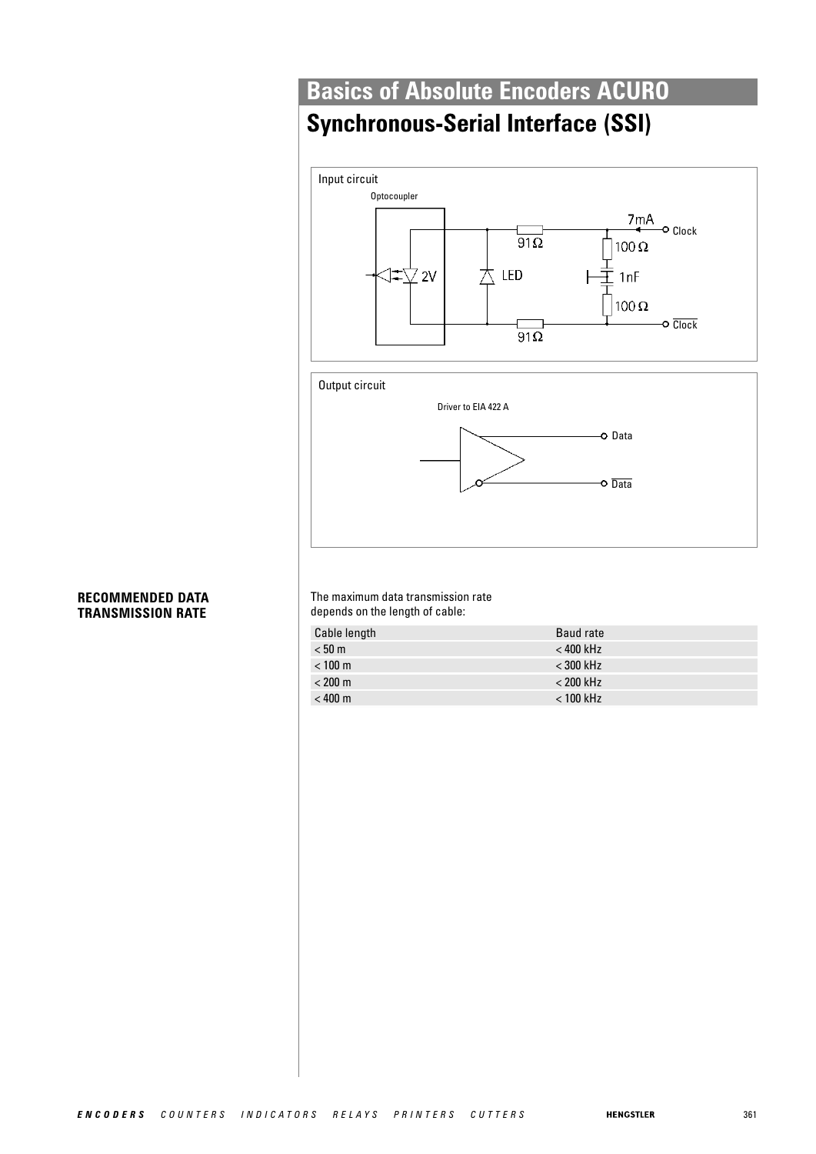# **Synchronous-Serial Interface (SSI)**





#### **RECOMMENDED DATA TRANSMISSION RATE**

The maximum data transmission rate depends on the length of cable:

| Cable length      | Baud rate   |
|-------------------|-------------|
| < 50 m            | $<$ 400 kHz |
| $< 100 \text{ m}$ | $<$ 300 kHz |
| $< 200 \text{ m}$ | $< 200$ kHz |
| $< 400 \text{ m}$ | $< 100$ kHz |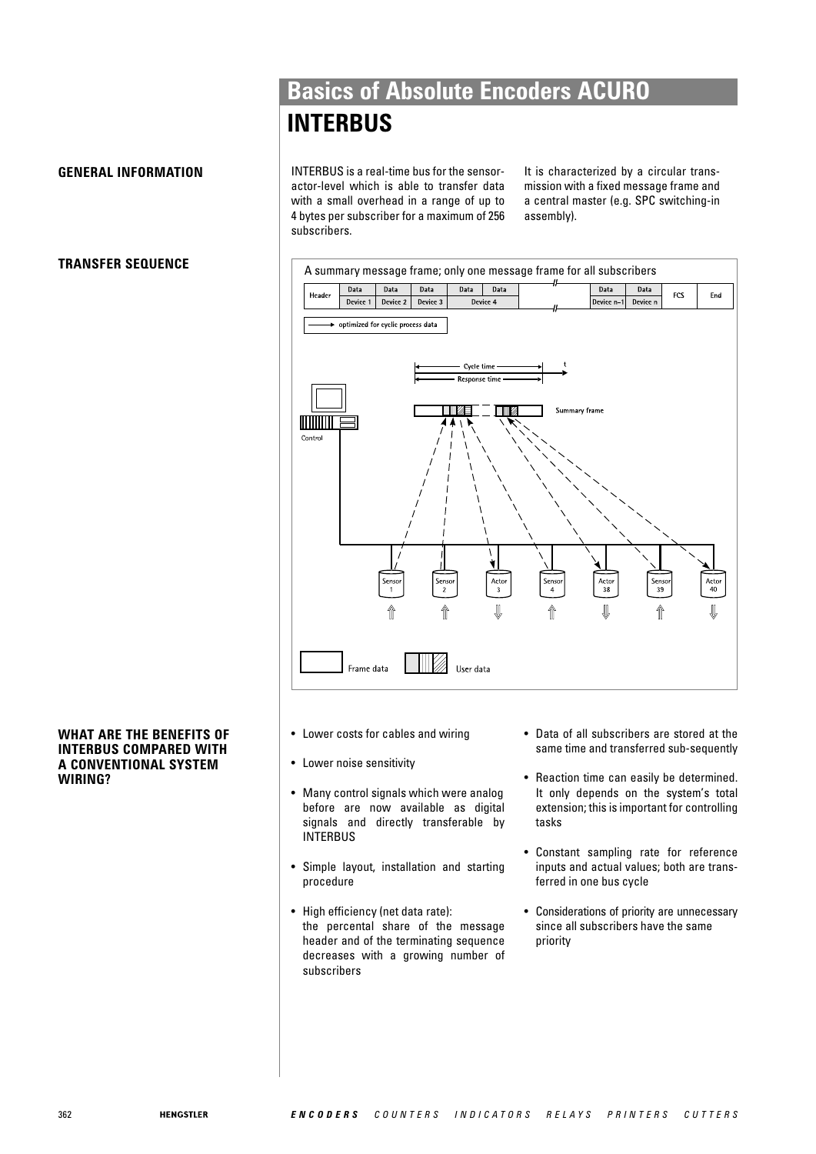## **Basics of Absolute Encoders ACURO INTERBUS**

## **GENERAL INFORMATION**

## **TRANSFER SEQUENCE**

## **WHAT ARE THE BENEFITS OF INTERBUS COMPARED WITH A CONVENTIONAL SYSTEM WIRING?**

INTERBUS is a real-time bus for the sensoractor-level which is able to transfer data with a small overhead in a range of up to 4 bytes per subscriber for a maximum of 256 subscribers.

It is characterized by a circular transmission with a fixed message frame and a central master (e.g. SPC switching-in assembly).



- Lower costs for cables and wiring
- Lower noise sensitivity
- Many control signals which were analog before are now available as digital signals and directly transferable by INTERBUS
- Simple layout, installation and starting procedure
- High efficiency (net data rate): the percental share of the message header and of the terminating sequence decreases with a growing number of subscribers
- Data of all subscribers are stored at the same time and transferred sub-sequently
- Reaction time can easily be determined. It only depends on the system's total extension; this is important for controlling tasks
- Constant sampling rate for reference inputs and actual values; both are transferred in one bus cycle
- Considerations of priority are unnecessary since all subscribers have the same priority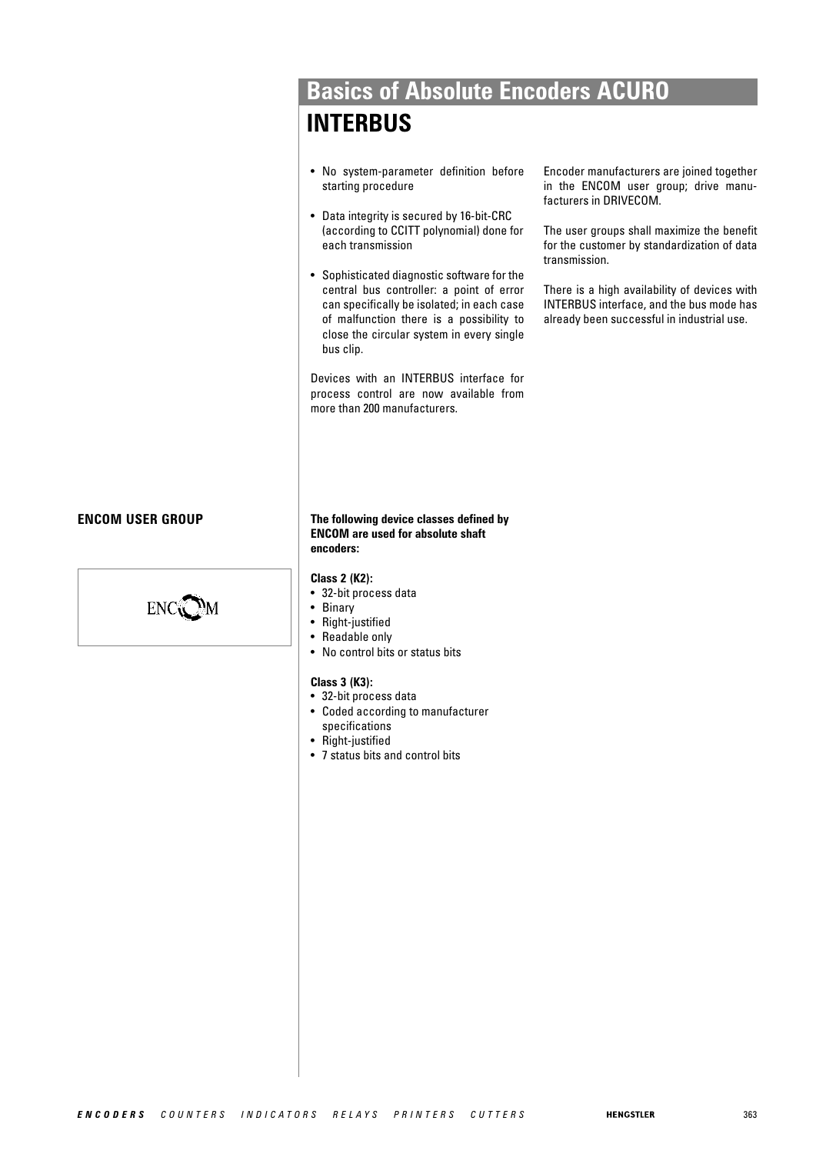## **Basics of Absolute Encoders ACURO INTERBUS**

- No system-parameter definition before starting procedure
- Data integrity is secured by 16-bit-CRC (according to CCITT polynomial) done for each transmission
- Sophisticated diagnostic software for the central bus controller: a point of error can specifically be isolated; in each case of malfunction there is a possibility to close the circular system in every single bus clip.

Devices with an INTERBUS interface for process control are now available from more than 200 manufacturers.

Encoder manufacturers are joined together in the ENCOM user group; drive manufacturers in DRIVECOM.

The user groups shall maximize the benefit for the customer by standardization of data transmission.

There is a high availability of devices with INTERBUS interface, and the bus mode has already been successful in industrial use.

## **ENCOM USER GROUP**



**The following device classes defined by ENCOM are used for absolute shaft encoders:**

#### **Class 2 (K2):**

- 32-bit process data
- **Binary**
- Right-justified
- Readable only
- No control bits or status bits

#### **Class 3 (K3):**

- 32-bit process data
- Coded according to manufacturer specifications
- Right-justified
- 7 status bits and control bits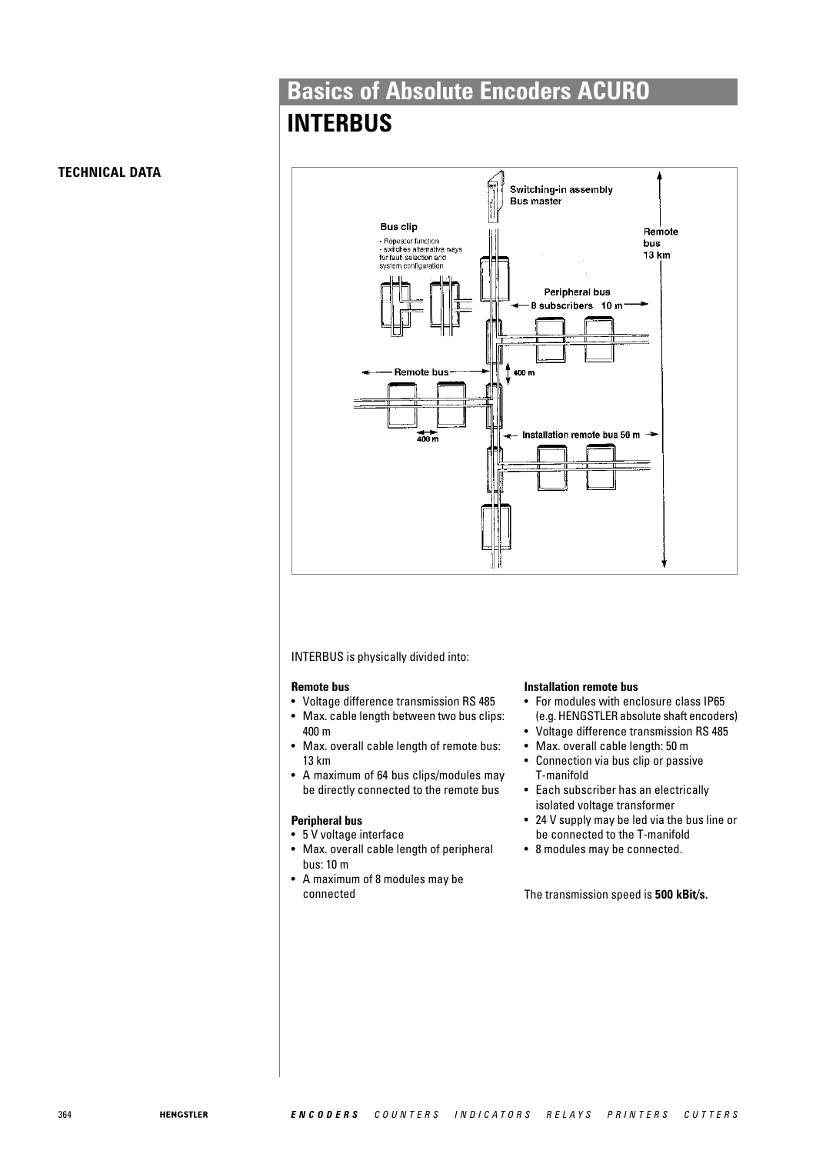## **INTERBUS**



INTERBUS is physically divided into:

#### **Remote bus**

- Voltage difference transmission RS 485
- Max. cable length between two bus clips: 400 m
- Max. overall cable length of remote bus: 13 km
- A maximum of 64 bus clips/modules may be directly connected to the remote bus

#### **Peripheral bus**

- 5 V voltage interface
- Max. overall cable length of peripheral bus: 10 m
- A maximum of 8 modules may be connected

#### **Installation remote bus**

- For modules with enclosure class IP65 (e.g. HENGSTLER absolute shaft encoders)
- Voltage difference transmission RS 485
- Max. overall cable length: 50 m
- Connection via bus clip or passive T-manifold
- Each subscriber has an electrically isolated voltage transformer
- 24 V supply may be led via the bus line or be connected to the T-manifold
- 8 modules may be connected.

The transmission speed is **500 kBit/s.**

#### **TECHNICAL DATA**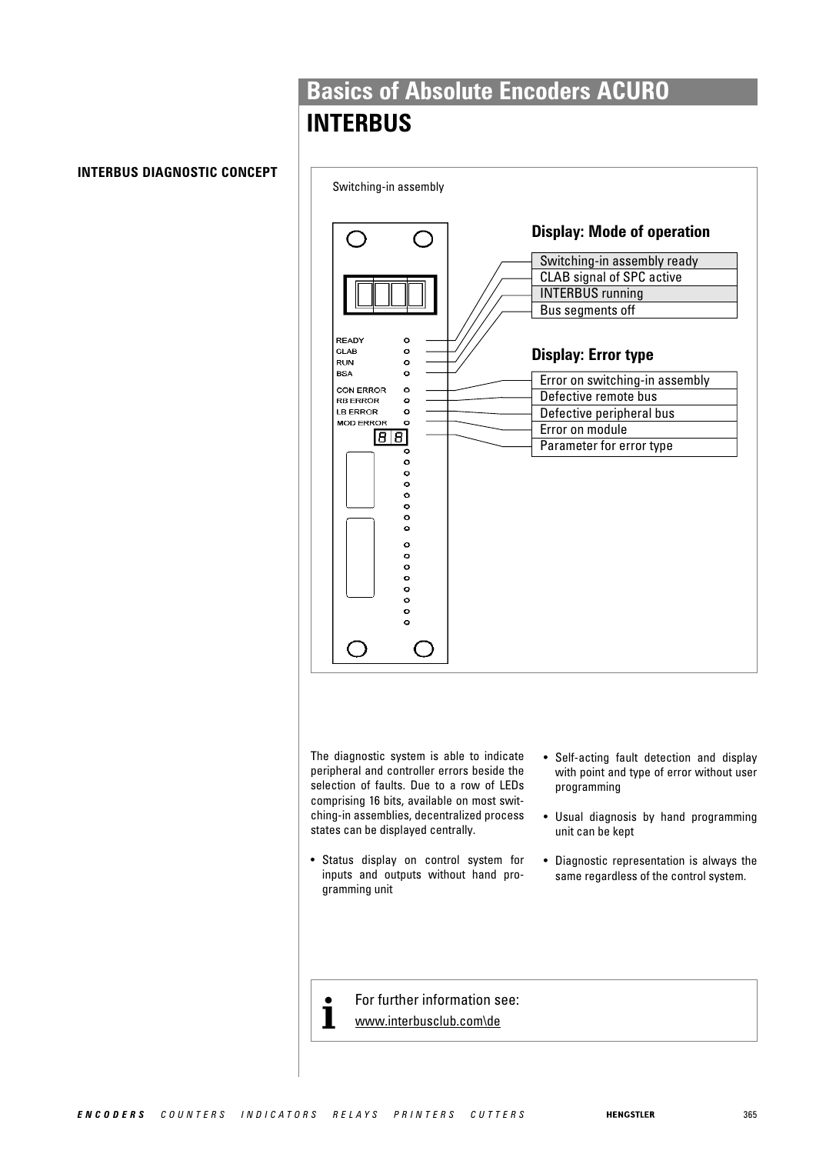## **INTERBUS**

## **INTERBUS DIAGNOSTIC CONCEPT**



The diagnostic system is able to indicate peripheral and controller errors beside the selection of faults. Due to a row of LEDs comprising 16 bits, available on most switching-in assemblies, decentralized process states can be displayed centrally.

- Status display on control system for inputs and outputs without hand programming unit
- Self-acting fault detection and display with point and type of error without user programming
- Usual diagnosis by hand programming unit can be kept
- Diagnostic representation is always the same regardless of the control system.

**for further information see:**<br>**i** www.interbusclub.com\de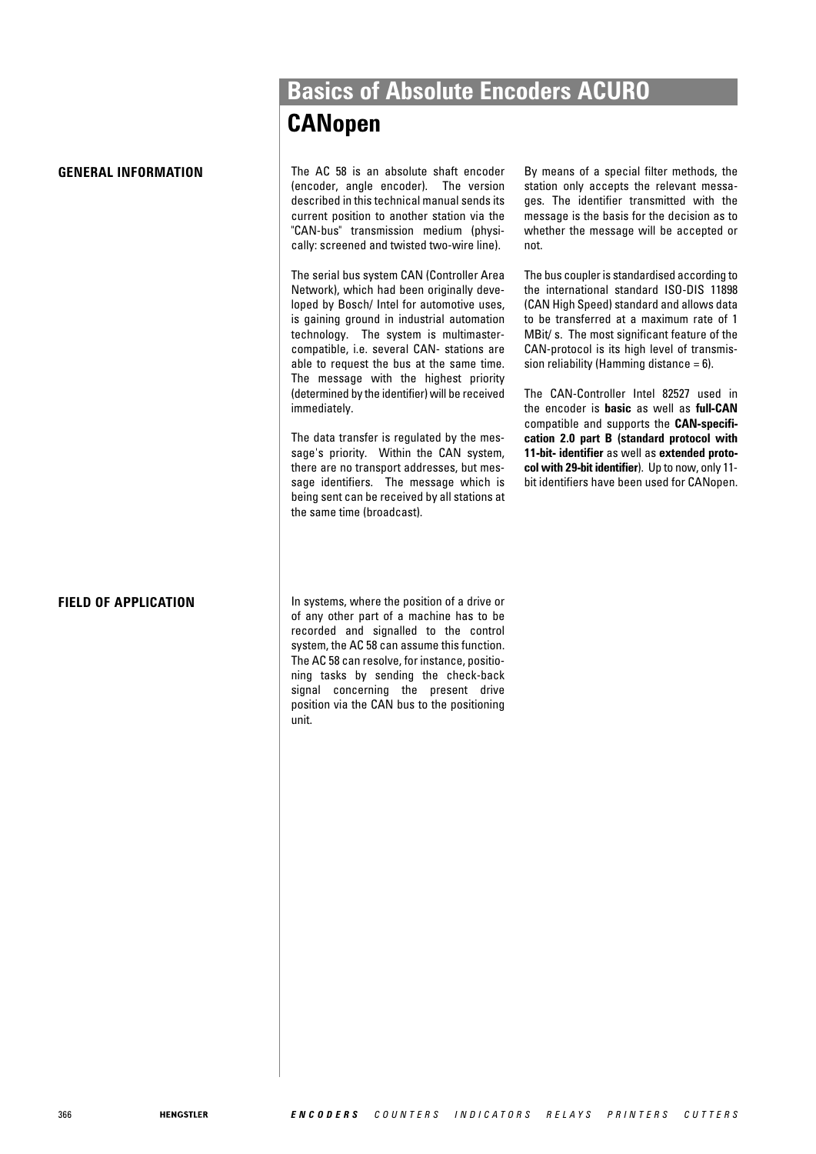#### **GENERAL INFORMATION**

**FIELD OF APPLICATION**

## **Basics of Absolute Encoders ACURO CANopen**

The AC 58 is an absolute shaft encoder (encoder, angle encoder). The version described in this technical manual sends its current position to another station via the "CAN-bus" transmission medium (physically: screened and twisted two-wire line).

The serial bus system CAN (Controller Area Network), which had been originally developed by Bosch/ Intel for automotive uses, is gaining ground in industrial automation technology. The system is multimastercompatible, i.e. several CAN- stations are able to request the bus at the same time. The message with the highest priority (determined by the identifier) will be received immediately.

The data transfer is regulated by the message's priority. Within the CAN system, there are no transport addresses, but message identifiers. The message which is being sent can be received by all stations at the same time (broadcast).

By means of a special filter methods, the station only accepts the relevant messages. The identifier transmitted with the message is the basis for the decision as to whether the message will be accepted or not.

The bus coupler is standardised according to the international standard ISO-DIS 11898 (CAN High Speed) standard and allows data to be transferred at a maximum rate of 1 MBit/ s. The most significant feature of the CAN-protocol is its high level of transmission reliability (Hamming distance  $= 6$ ).

The CAN-Controller Intel 82527 used in the encoder is **basic** as well as **full-CAN** compatible and supports the **CAN-specification 2.0 part B (standard protocol with 11-bit- identifier** as well as **extended protocol with 29-bit identifier**). Up to now, only 11 bit identifiers have been used for CANopen.

In systems, where the position of a drive or of any other part of a machine has to be recorded and signalled to the control system, the AC 58 can assume this function. The AC 58 can resolve, for instance, positioning tasks by sending the check-back signal concerning the present drive position via the CAN bus to the positioning unit.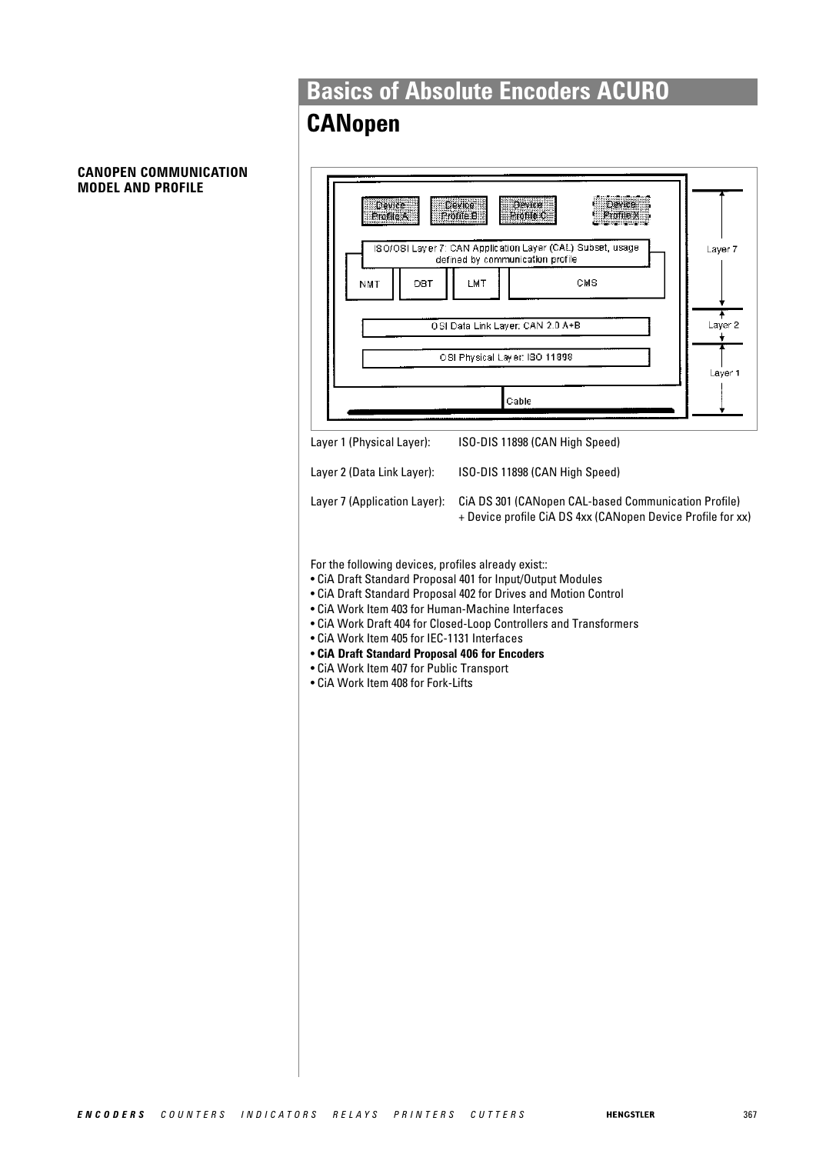# **CANopen**

#### **CANOPEN COMMUNICATION MODEL AND PROFILE**

| Device<br>Profile A<br>DBT<br>NMT                                                                                                                                                                                                                                                          | <b>Device</b><br>Device<br>Profile B<br>Profile C<br>ISO/OSI Layer 7: CAN Application Layer (CAL) Subset, usage<br>Layer 7<br>defined by communication profile<br>LMT<br><b>CMS</b><br>OSI Data Link Layer: CAN 2.0 A+B<br>Layer 2<br>OSI Physical Layer: ISO 11898<br>Layer 1<br>Cable |
|--------------------------------------------------------------------------------------------------------------------------------------------------------------------------------------------------------------------------------------------------------------------------------------------|-----------------------------------------------------------------------------------------------------------------------------------------------------------------------------------------------------------------------------------------------------------------------------------------|
|                                                                                                                                                                                                                                                                                            |                                                                                                                                                                                                                                                                                         |
| Layer 1 (Physical Layer):                                                                                                                                                                                                                                                                  | ISO-DIS 11898 (CAN High Speed)                                                                                                                                                                                                                                                          |
| Layer 2 (Data Link Layer):                                                                                                                                                                                                                                                                 | ISO-DIS 11898 (CAN High Speed)                                                                                                                                                                                                                                                          |
| Layer 7 (Application Layer):                                                                                                                                                                                                                                                               | CIA DS 301 (CANopen CAL-based Communication Profile)<br>+ Device profile CiA DS 4xx (CANopen Device Profile for xx)                                                                                                                                                                     |
| For the following devices, profiles already exist::<br>• CiA Work Item 403 for Human-Machine Interfaces<br>• CiA Work Item 405 for IEC-1131 Interfaces<br>• CiA Draft Standard Proposal 406 for Encoders<br>• CiA Work Item 407 for Public Transport<br>• CiA Work Item 408 for Fork-Lifts | • CiA Draft Standard Proposal 401 for Input/Output Modules<br>• CiA Draft Standard Proposal 402 for Drives and Motion Control<br>• CiA Work Draft 404 for Closed-Loop Controllers and Transformers                                                                                      |
|                                                                                                                                                                                                                                                                                            |                                                                                                                                                                                                                                                                                         |
|                                                                                                                                                                                                                                                                                            |                                                                                                                                                                                                                                                                                         |
|                                                                                                                                                                                                                                                                                            |                                                                                                                                                                                                                                                                                         |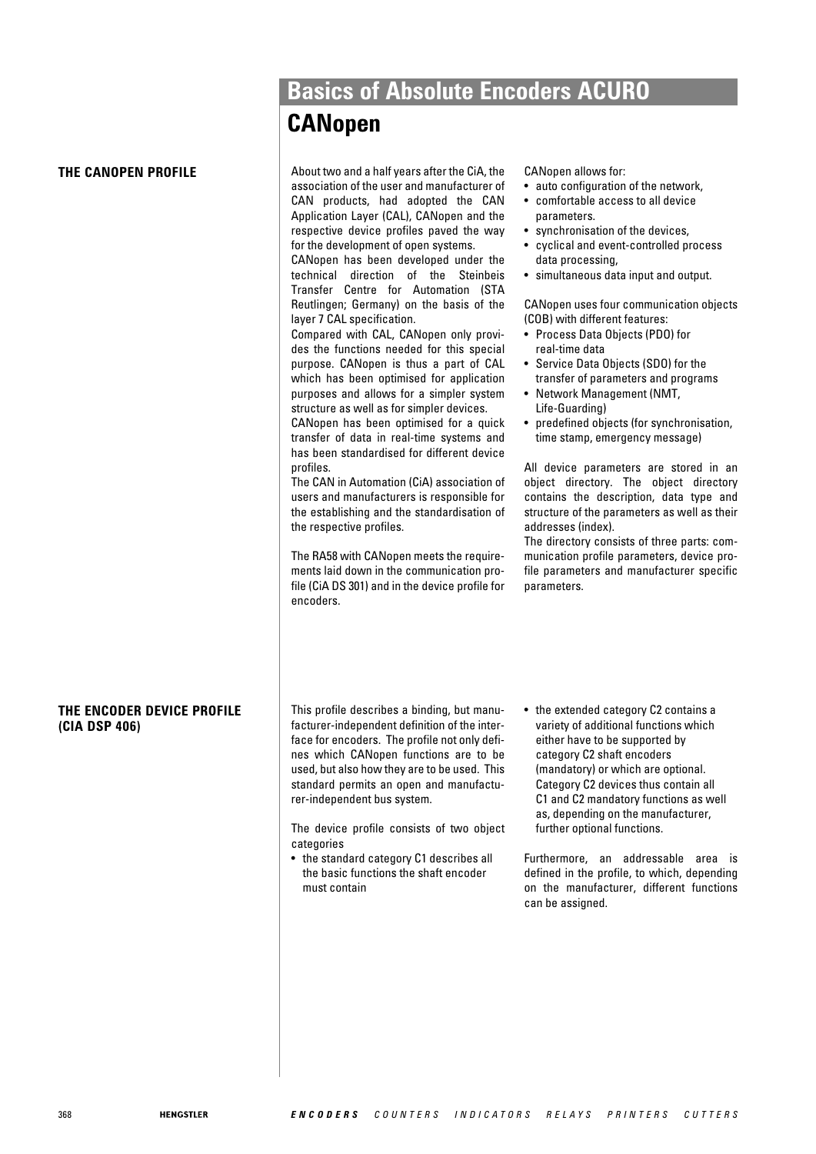## **CANopen**

**THE CANOPEN PROFILE THE ENCODER DEVICE PROFILE (CIA DSP 406)** About two and a half years after the CiA, the association of the user and manufacturer of CAN products, had adopted the CAN Application Layer (CAL), CANopen and the respective device profiles paved the way for the development of open systems. CANopen has been developed under the technical direction of the Steinbeis Transfer Centre for Automation (STA Reutlingen; Germany) on the basis of the layer 7 CAL specification. Compared with CAL, CANopen only provides the functions needed for this special purpose. CANopen is thus a part of CAL which has been optimised for application purposes and allows for a simpler system structure as well as for simpler devices. CANopen has been optimised for a quick transfer of data in real-time systems and has been standardised for different device profiles. The CAN in Automation (CiA) association of users and manufacturers is responsible for the establishing and the standardisation of the respective profiles. The RA58 with CANopen meets the requirements laid down in the communication profile (CiA DS 301) and in the device profile for encoders. CANopen allows for: • auto configuration of the network, • comfortable access to all device parameters. • synchronisation of the devices, • cyclical and event-controlled process data processing, • simultaneous data input and output. CANopen uses four communication objects (COB) with different features: • Process Data Objects (PDO) for real-time data • Service Data Objects (SDO) for the transfer of parameters and programs • Network Management (NMT, Life-Guarding) • predefined objects (for synchronisation, time stamp, emergency message) All device parameters are stored in an object directory. The object directory contains the description, data type and structure of the parameters as well as their addresses (index). The directory consists of three parts: communication profile parameters, device profile parameters and manufacturer specific parameters. This profile describes a binding, but manufacturer-independent definition of the interface for encoders. The profile not only defines which CANopen functions are to be used, but also how they are to be used. This standard permits an open and manufacturer-independent bus system. The device profile consists of two object categories • the standard category C1 describes all the basic functions the shaft encoder must contain • the extended category C2 contains a variety of additional functions which either have to be supported by category C2 shaft encoders (mandatory) or which are optional. Category C2 devices thus contain all C1 and C2 mandatory functions as well as, depending on the manufacturer, further optional functions. Furthermore, an addressable area is defined in the profile, to which, depending on the manufacturer, different functions can be assigned.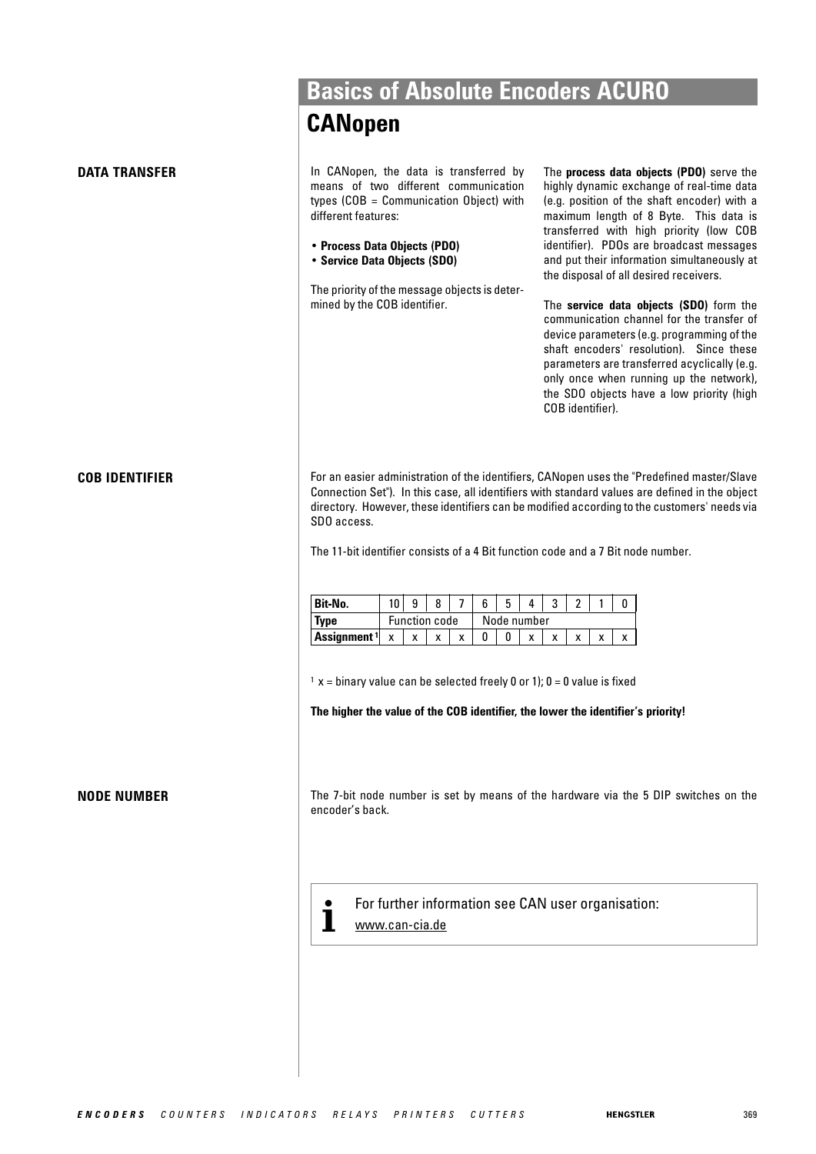|                       | <b>CANopen</b>                                                                                                                                                                                                                                                                                                                                                                                 |                                                                                                                                                                                                                                                                                                                                                                                                                                                                                                                                                                                                                                                                                                              |
|-----------------------|------------------------------------------------------------------------------------------------------------------------------------------------------------------------------------------------------------------------------------------------------------------------------------------------------------------------------------------------------------------------------------------------|--------------------------------------------------------------------------------------------------------------------------------------------------------------------------------------------------------------------------------------------------------------------------------------------------------------------------------------------------------------------------------------------------------------------------------------------------------------------------------------------------------------------------------------------------------------------------------------------------------------------------------------------------------------------------------------------------------------|
| <b>DATA TRANSFER</b>  | In CANopen, the data is transferred by<br>means of two different communication<br>types $(COB = Communication Object)$ with<br>different features:<br>• Process Data Objects (PDO)<br>• Service Data Objects (SDO)<br>The priority of the message objects is deter-<br>mined by the COB identifier.                                                                                            | The process data objects (PDO) serve the<br>highly dynamic exchange of real-time data<br>(e.g. position of the shaft encoder) with a<br>maximum length of 8 Byte. This data is<br>transferred with high priority (low COB<br>identifier). PDOs are broadcast messages<br>and put their information simultaneously at<br>the disposal of all desired receivers.<br>The service data objects (SDO) form the<br>communication channel for the transfer of<br>device parameters (e.g. programming of the<br>shaft encoders' resolution). Since these<br>parameters are transferred acyclically (e.g.<br>only once when running up the network),<br>the SDO objects have a low priority (high<br>COB identifier). |
| <b>COB IDENTIFIER</b> | For an easier administration of the identifiers, CANopen uses the "Predefined master/Slave<br>Connection Set"). In this case, all identifiers with standard values are defined in the object<br>directory. However, these identifiers can be modified according to the customers' needs via<br>SDO access.<br>The 11-bit identifier consists of a 4 Bit function code and a 7 Bit node number. |                                                                                                                                                                                                                                                                                                                                                                                                                                                                                                                                                                                                                                                                                                              |
|                       |                                                                                                                                                                                                                                                                                                                                                                                                |                                                                                                                                                                                                                                                                                                                                                                                                                                                                                                                                                                                                                                                                                                              |
|                       | $10 \vert 9$<br>8<br>$\overline{7}$<br>Bit-No.                                                                                                                                                                                                                                                                                                                                                 | 5<br>3<br>6<br>$\overline{2}$<br>4<br>$\mathbf{1}$<br>0                                                                                                                                                                                                                                                                                                                                                                                                                                                                                                                                                                                                                                                      |
|                       | <b>Function code</b><br><b>Type</b><br>Assignment <sup>1</sup><br>X<br>X<br>X<br>x                                                                                                                                                                                                                                                                                                             | Node number<br>0<br>0<br>X<br>x<br>X<br>X<br>X                                                                                                                                                                                                                                                                                                                                                                                                                                                                                                                                                                                                                                                               |
|                       |                                                                                                                                                                                                                                                                                                                                                                                                |                                                                                                                                                                                                                                                                                                                                                                                                                                                                                                                                                                                                                                                                                                              |
|                       | $x = binary$ value can be selected freely 0 or 1); 0 = 0 value is fixed                                                                                                                                                                                                                                                                                                                        |                                                                                                                                                                                                                                                                                                                                                                                                                                                                                                                                                                                                                                                                                                              |
|                       |                                                                                                                                                                                                                                                                                                                                                                                                | The higher the value of the COB identifier, the lower the identifier's priority!                                                                                                                                                                                                                                                                                                                                                                                                                                                                                                                                                                                                                             |
| <b>NODE NUMBER</b>    | encoder's back.                                                                                                                                                                                                                                                                                                                                                                                | The 7-bit node number is set by means of the hardware via the 5 DIP switches on the                                                                                                                                                                                                                                                                                                                                                                                                                                                                                                                                                                                                                          |
|                       | www.can-cia.de                                                                                                                                                                                                                                                                                                                                                                                 | For further information see CAN user organisation:                                                                                                                                                                                                                                                                                                                                                                                                                                                                                                                                                                                                                                                           |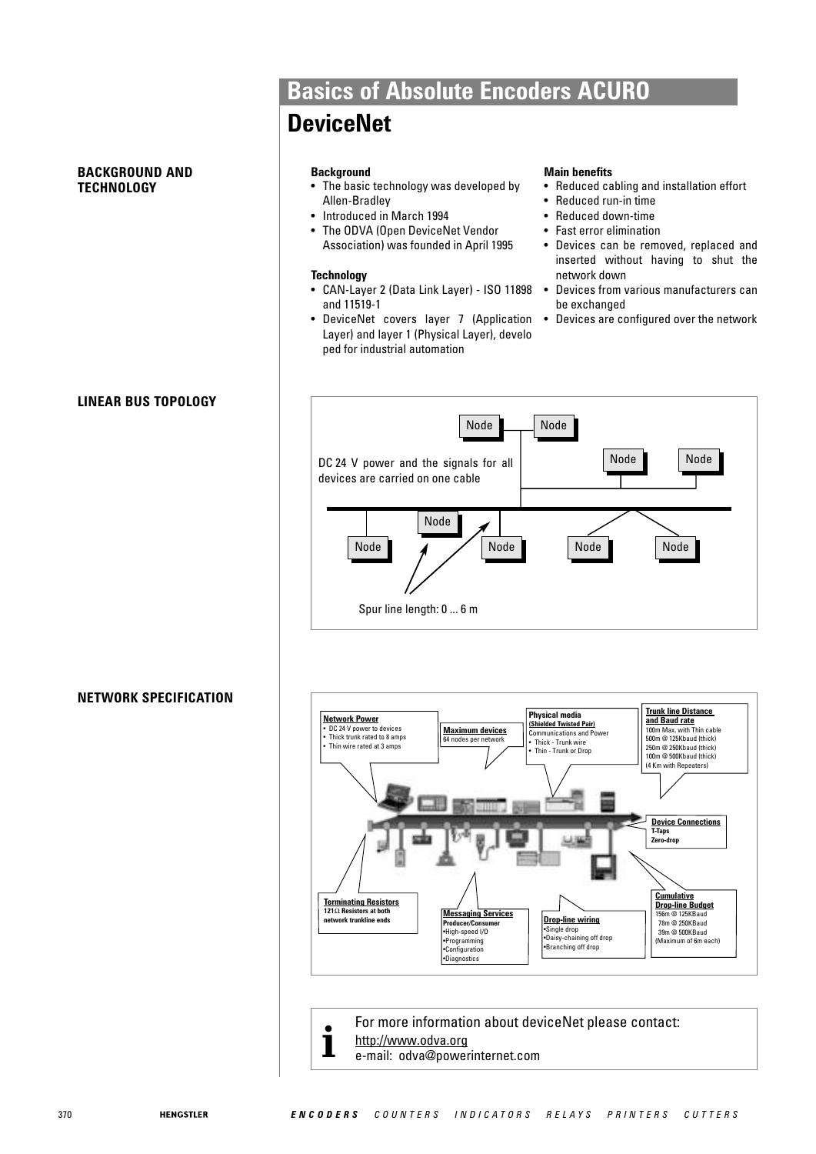#### **BACKGROUND AND TECHNOLOGY**

## **LINEAR BUS TOPOLOGY**

#### **NETWORK SPECIFICATION**

## **Basics of Absolute Encoders ACURO**

## **DeviceNet**

#### **Background**

- The basic technology was developed by Allen-Bradley
- Introduced in March 1994
- The ODVA (Open DeviceNet Vendor Association) was founded in April 1995

#### **Technology**

- CAN-Layer 2 (Data Link Layer) ISO 11898 Devices from various manufacturers can and 11519-1
- DeviceNet covers layer 7 (Application Layer) and layer 1 (Physical Layer), develo ped for industrial automation

#### **Main benefits**

- Reduced cabling and installation effort
- Reduced run-in time
- Reduced down-time
- Fast error elimination
- Devices can be removed, replaced and inserted without having to shut the network down
- be exchanged
- Devices are configured over the network





For more information about deviceNet please contact: http://www.odva.org **i** e-mail: odva@powerinternet.com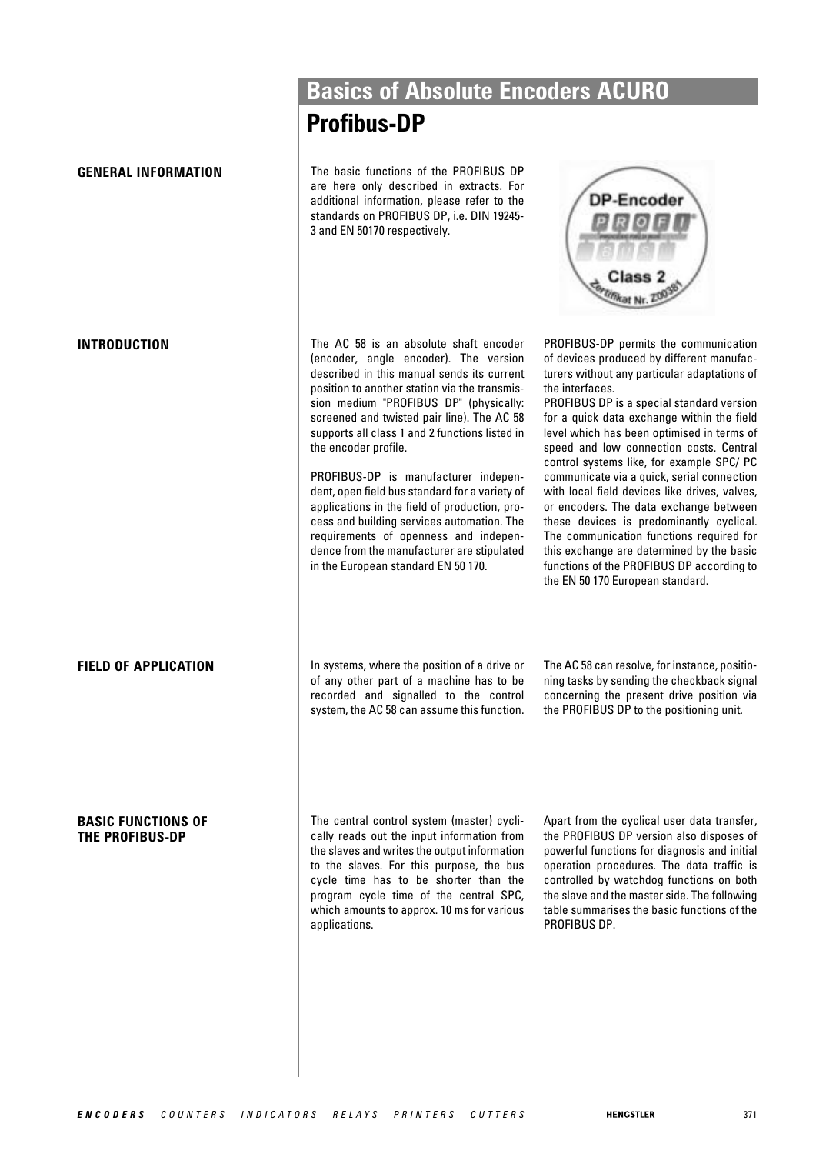#### **BASIC FUNCTIONS OF THE PROFIBUS-DP**

**Basics of Absolute Encoders ACURO**

## **Profibus-DP**

**GENERAL INFORMATION** The basic functions of the PROFIBUS DP are here only described in extracts. For additional information, please refer to the standards on PROFIBUS DP, i.e. DIN 19245- 3 and EN 50170 respectively.

**INTRODUCTION** The AC 58 is an absolute shaft encoder (encoder, angle encoder). The version described in this manual sends its current position to another station via the transmission medium "PROFIBUS DP" (physically: screened and twisted pair line). The AC 58 supports all class 1 and 2 functions listed in the encoder profile.

> PROFIBUS-DP is manufacturer independent, open field bus standard for a variety of applications in the field of production, process and building services automation. The requirements of openness and independence from the manufacturer are stipulated in the European standard EN 50 170.

PROFIBUS-DP permits the communication of devices produced by different manufacturers without any particular adaptations of the interfaces.

**DP-Encoder** 

PROFIBUS DP is a special standard version for a quick data exchange within the field level which has been optimised in terms of speed and low connection costs. Central control systems like, for example SPC/ PC communicate via a quick, serial connection with local field devices like drives, valves, or encoders. The data exchange between these devices is predominantly cyclical. The communication functions required for this exchange are determined by the basic functions of the PROFIBUS DP according to the EN 50 170 European standard.

**FIELD OF APPLICATION** In systems, where the position of a drive or of any other part of a machine has to be recorded and signalled to the control system, the AC 58 can assume this function. The AC 58 can resolve, for instance, positioning tasks by sending the checkback signal concerning the present drive position via the PROFIBUS DP to the positioning unit.

The central control system (master) cyclically reads out the input information from the slaves and writes the output information to the slaves. For this purpose, the bus cycle time has to be shorter than the program cycle time of the central SPC, which amounts to approx. 10 ms for various applications.

Apart from the cyclical user data transfer, the PROFIBUS DP version also disposes of powerful functions for diagnosis and initial operation procedures. The data traffic is controlled by watchdog functions on both the slave and the master side. The following table summarises the basic functions of the PROFIBUS DP.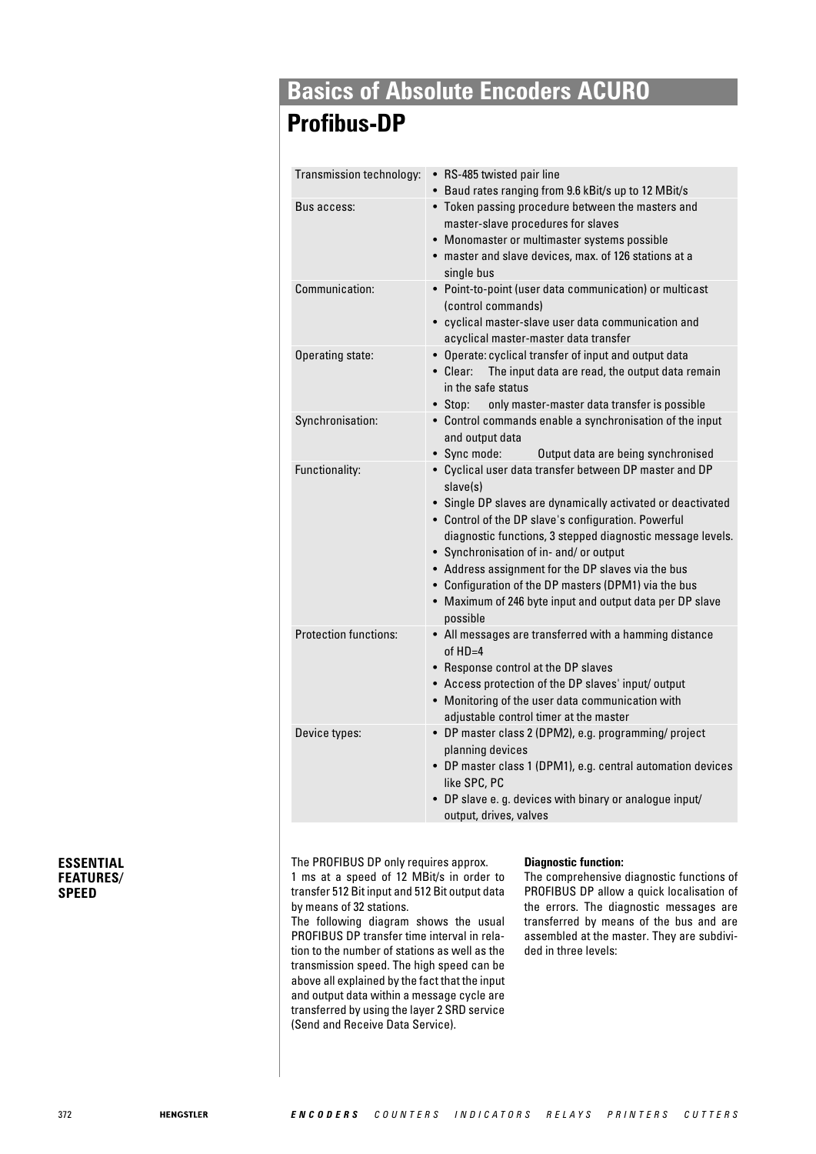## **Profibus-DP**

| Transmission technology:     | • RS-485 twisted pair line<br>• Baud rates ranging from 9.6 kBit/s up to 12 MBit/s                                                                                                                                                                                                                                                                                                                                                                                                      |
|------------------------------|-----------------------------------------------------------------------------------------------------------------------------------------------------------------------------------------------------------------------------------------------------------------------------------------------------------------------------------------------------------------------------------------------------------------------------------------------------------------------------------------|
| Bus access:                  | • Token passing procedure between the masters and<br>master-slave procedures for slaves<br>• Monomaster or multimaster systems possible<br>master and slave devices, max. of 126 stations at a<br>single bus                                                                                                                                                                                                                                                                            |
| Communication:               | • Point-to-point (user data communication) or multicast<br>(control commands)<br>• cyclical master-slave user data communication and<br>acyclical master-master data transfer                                                                                                                                                                                                                                                                                                           |
| Operating state:             | • Operate: cyclical transfer of input and output data<br>• Clear:<br>The input data are read, the output data remain<br>in the safe status<br>• Stop:<br>only master-master data transfer is possible                                                                                                                                                                                                                                                                                   |
| Synchronisation:             | • Control commands enable a synchronisation of the input<br>and output data<br>• Sync mode:<br>Output data are being synchronised                                                                                                                                                                                                                                                                                                                                                       |
| Functionality:               | • Cyclical user data transfer between DP master and DP<br>slave(s)<br>• Single DP slaves are dynamically activated or deactivated<br>• Control of the DP slave's configuration. Powerful<br>diagnostic functions, 3 stepped diagnostic message levels.<br>• Synchronisation of in- and/ or output<br>• Address assignment for the DP slaves via the bus<br>• Configuration of the DP masters (DPM1) via the bus<br>• Maximum of 246 byte input and output data per DP slave<br>possible |
| <b>Protection functions:</b> | • All messages are transferred with a hamming distance<br>of $HD=4$<br>• Response control at the DP slaves<br>• Access protection of the DP slaves' input/ output<br>• Monitoring of the user data communication with<br>adjustable control timer at the master                                                                                                                                                                                                                         |
| Device types:                | • DP master class 2 (DPM2), e.g. programming/ project<br>planning devices<br>• DP master class 1 (DPM1), e.g. central automation devices<br>like SPC, PC<br>• DP slave e. g. devices with binary or analogue input/<br>output, drives, valves                                                                                                                                                                                                                                           |

#### **ESSENTIAL FEATURES/ SPEED**

The PROFIBUS DP only requires approx.

1 ms at a speed of 12 MBit/s in order to transfer 512 Bit input and 512 Bit output data by means of 32 stations.

The following diagram shows the usual PROFIBUS DP transfer time interval in relation to the number of stations as well as the transmission speed. The high speed can be above all explained by the fact that the input and output data within a message cycle are transferred by using the layer 2 SRD service (Send and Receive Data Service).

#### **Diagnostic function:**

The comprehensive diagnostic functions of PROFIBUS DP allow a quick localisation of the errors. The diagnostic messages are transferred by means of the bus and are assembled at the master. They are subdivided in three levels: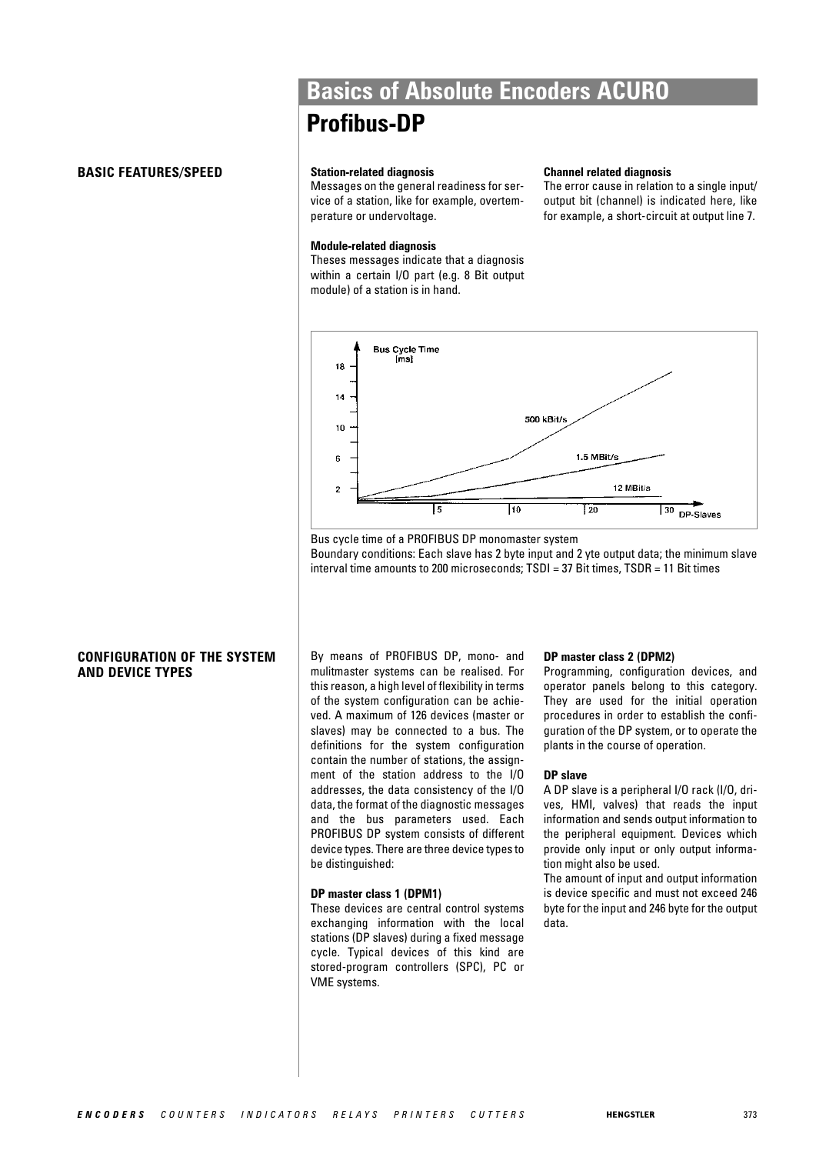#### **BASIC FEATURES/SPEED**

## **Basics of Absolute Encoders ACURO Profibus-DP**

#### **Station-related diagnosis**

Messages on the general readiness for service of a station, like for example, overtemperature or undervoltage.

#### **Module-related diagnosis**

Theses messages indicate that a diagnosis within a certain I/O part (e.g. 8 Bit output module) of a station is in hand.

#### **Channel related diagnosis**

The error cause in relation to a single input/ output bit (channel) is indicated here, like for example, a short-circuit at output line 7.



Bus cycle time of a PROFIBUS DP monomaster system Boundary conditions: Each slave has 2 byte input and 2 yte output data; the minimum slave interval time amounts to 200 microseconds; TSDI = 37 Bit times, TSDR = 11 Bit times

## **CONFIGURATION OF THE SYSTEM AND DEVICE TYPES**

By means of PROFIBUS DP, mono- and mulitmaster systems can be realised. For this reason, a high level of flexibility in terms of the system configuration can be achieved. A maximum of 126 devices (master or slaves) may be connected to a bus. The definitions for the system configuration contain the number of stations, the assignment of the station address to the I/O addresses, the data consistency of the I/O data, the format of the diagnostic messages and the bus parameters used. Each PROFIBUS DP system consists of different device types. There are three device types to be distinguished:

#### **DP master class 1 (DPM1)**

These devices are central control systems exchanging information with the local stations (DP slaves) during a fixed message cycle. Typical devices of this kind are stored-program controllers (SPC), PC or VME systems.

#### **DP master class 2 (DPM2)**

Programming, configuration devices, and operator panels belong to this category. They are used for the initial operation procedures in order to establish the configuration of the DP system, or to operate the plants in the course of operation.

#### **DP slave**

A DP slave is a peripheral I/O rack (I/O, drives, HMI, valves) that reads the input information and sends output information to the peripheral equipment. Devices which provide only input or only output information might also be used.

The amount of input and output information is device specific and must not exceed 246 byte for the input and 246 byte for the output data.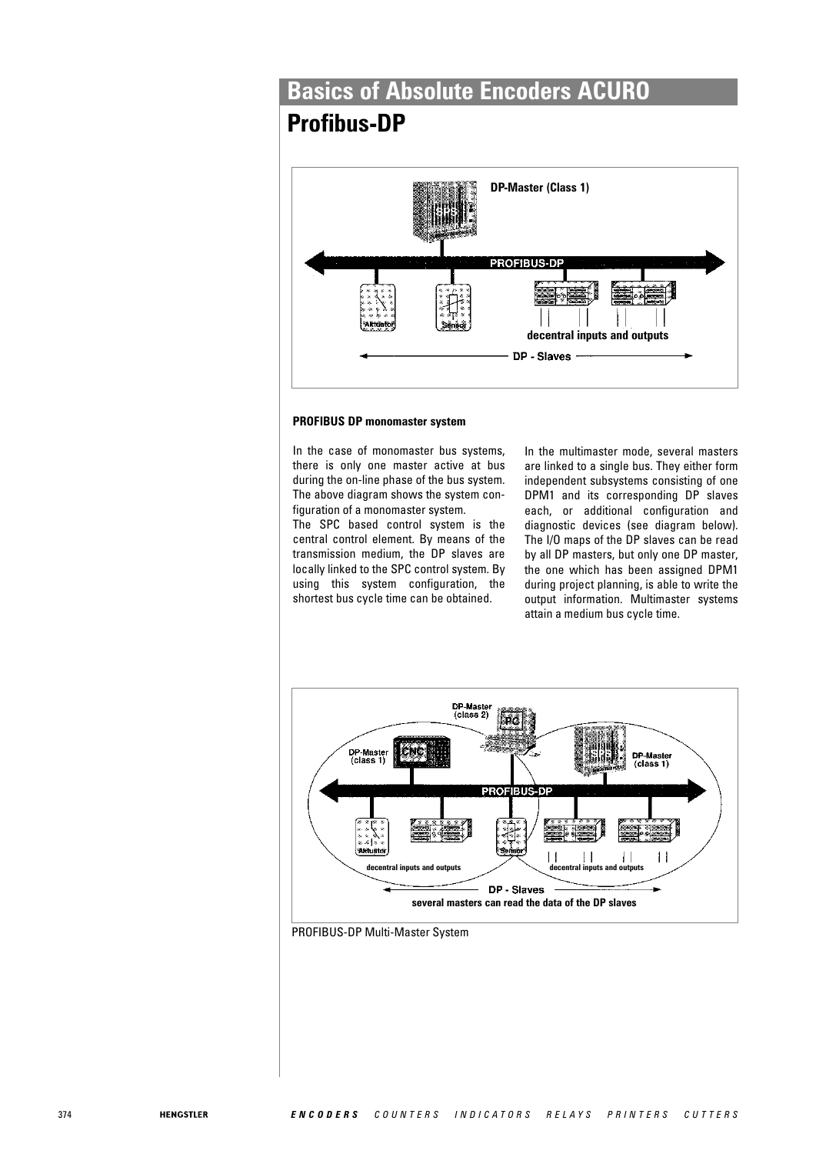## **Profibus-DP**



#### **PROFIBUS DP monomaster system**

In the case of monomaster bus systems, there is only one master active at bus during the on-line phase of the bus system. The above diagram shows the system configuration of a monomaster system.

The SPC based control system is the central control element. By means of the transmission medium, the DP slaves are locally linked to the SPC control system. By using this system configuration, the shortest bus cycle time can be obtained.

In the multimaster mode, several masters are linked to a single bus. They either form independent subsystems consisting of one DPM1 and its corresponding DP slaves each, or additional configuration and diagnostic devices (see diagram below). The I/O maps of the DP slaves can be read by all DP masters, but only one DP master, the one which has been assigned DPM1 during project planning, is able to write the output information. Multimaster systems attain a medium bus cycle time.



PROFIBUS-DP Multi-Master System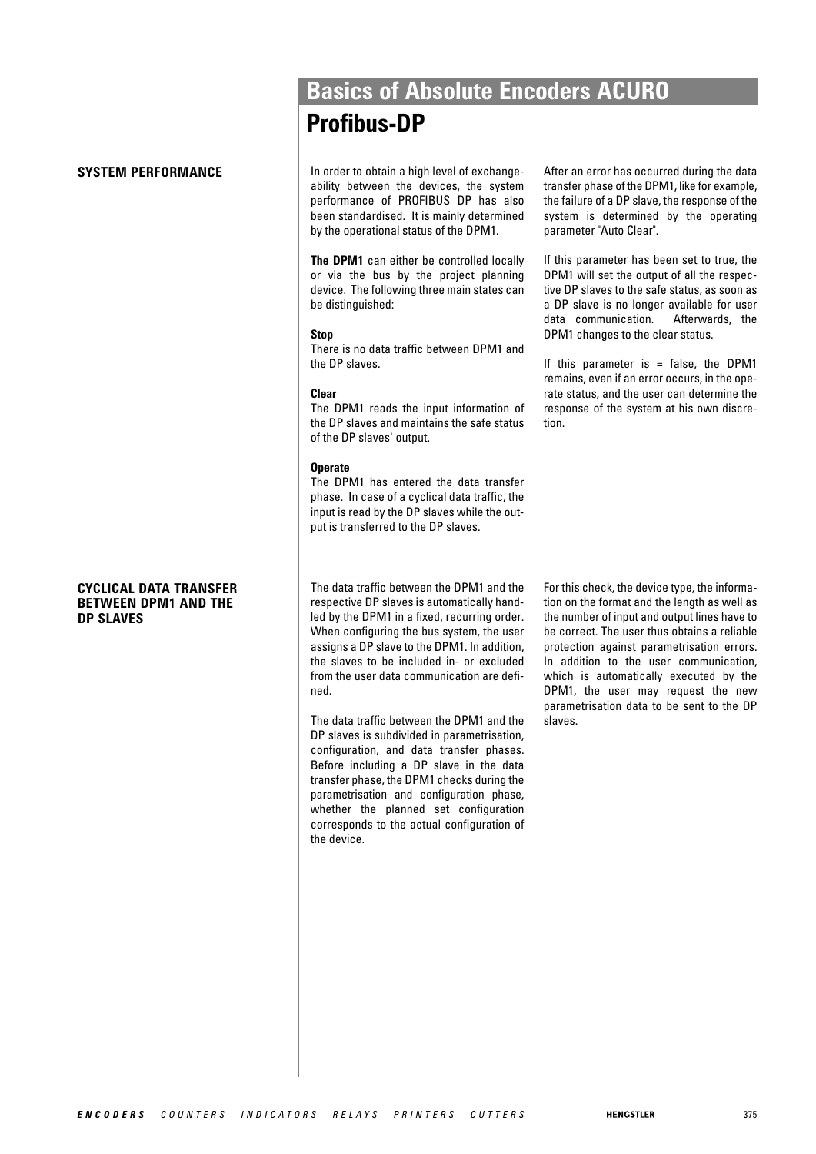#### **CYCLICAL DATA TRANSFER BETWEEN DPM1 AND THE DP SLAVES**

**SYSTEM PERFORMANCE In order to obtain a high level of exchange**ability between the devices, the system performance of PROFIBUS DP has also been standardised. It is mainly determined by the operational status of the DPM1.

**Profibus-DP**

**Basics of Absolute Encoders ACURO**

**The DPM1** can either be controlled locally or via the bus by the project planning device. The following three main states can be distinguished:

#### **Stop**

There is no data traffic between DPM1 and the DP slaves.

#### **Clear**

The DPM1 reads the input information of the DP slaves and maintains the safe status of the DP slaves' output.

#### **Operate**

The DPM1 has entered the data transfer phase. In case of a cyclical data traffic, the input is read by the DP slaves while the output is transferred to the DP slaves.

The data traffic between the DPM1 and the respective DP slaves is automatically handled by the DPM1 in a fixed, recurring order. When configuring the bus system, the user assigns a DP slave to the DPM1. In addition, the slaves to be included in- or excluded from the user data communication are defined.

The data traffic between the DPM1 and the DP slaves is subdivided in parametrisation, configuration, and data transfer phases. Before including a DP slave in the data transfer phase, the DPM1 checks during the parametrisation and configuration phase, whether the planned set configuration corresponds to the actual configuration of the device.

After an error has occurred during the data transfer phase of the DPM1, like for example, the failure of a DP slave, the response of the system is determined by the operating parameter "Auto Clear".

If this parameter has been set to true, the DPM1 will set the output of all the respective DP slaves to the safe status, as soon as a DP slave is no longer available for user data communication. Afterwards, the DPM1 changes to the clear status.

If this parameter is  $=$  false, the DPM1 remains, even if an error occurs, in the operate status, and the user can determine the response of the system at his own discretion.

For this check, the device type, the information on the format and the length as well as the number of input and output lines have to be correct. The user thus obtains a reliable protection against parametrisation errors. In addition to the user communication, which is automatically executed by the DPM1, the user may request the new parametrisation data to be sent to the DP slaves.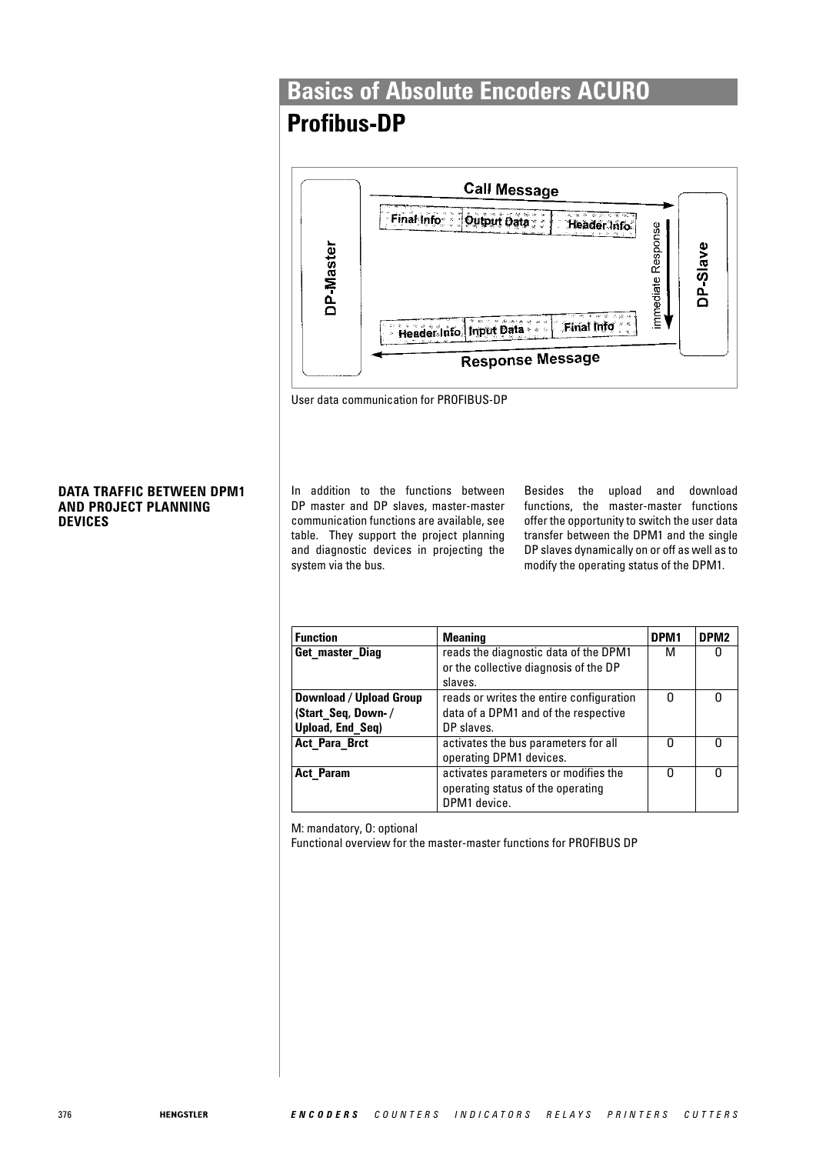## **Profibus-DP**



User data communication for PROFIBUS-DP

In addition to the functions between DP master and DP slaves, master-master communication functions are available, see table. They support the project planning and diagnostic devices in projecting the system via the bus.

Besides the upload and download functions, the master-master functions offer the opportunity to switch the user data transfer between the DPM1 and the single DP slaves dynamically on or off as well as to modify the operating status of the DPM1.

| <b>Function</b>         | <b>Meaning</b>                           | DPM <sub>1</sub> | DPM <sub>2</sub> |
|-------------------------|------------------------------------------|------------------|------------------|
| Get master Diag         | reads the diagnostic data of the DPM1    | М                |                  |
|                         | or the collective diagnosis of the DP    |                  |                  |
|                         | slaves.                                  |                  |                  |
| Download / Upload Group | reads or writes the entire configuration | ŋ                | n                |
| (Start Seq, Down-/      | data of a DPM1 and of the respective     |                  |                  |
| Upload, End Seq)        | DP slaves.                               |                  |                  |
| <b>Act Para Brct</b>    | activates the bus parameters for all     | n                |                  |
|                         | operating DPM1 devices.                  |                  |                  |
| <b>Act Param</b>        | activates parameters or modifies the     |                  | O                |
|                         | operating status of the operating        |                  |                  |
|                         | DPM1 device.                             |                  |                  |

M: mandatory, O: optional

Functional overview for the master-master functions for PROFIBUS DP

#### **DATA TRAFFIC BETWEEN DPM1 AND PROJECT PLANNING DEVICES**